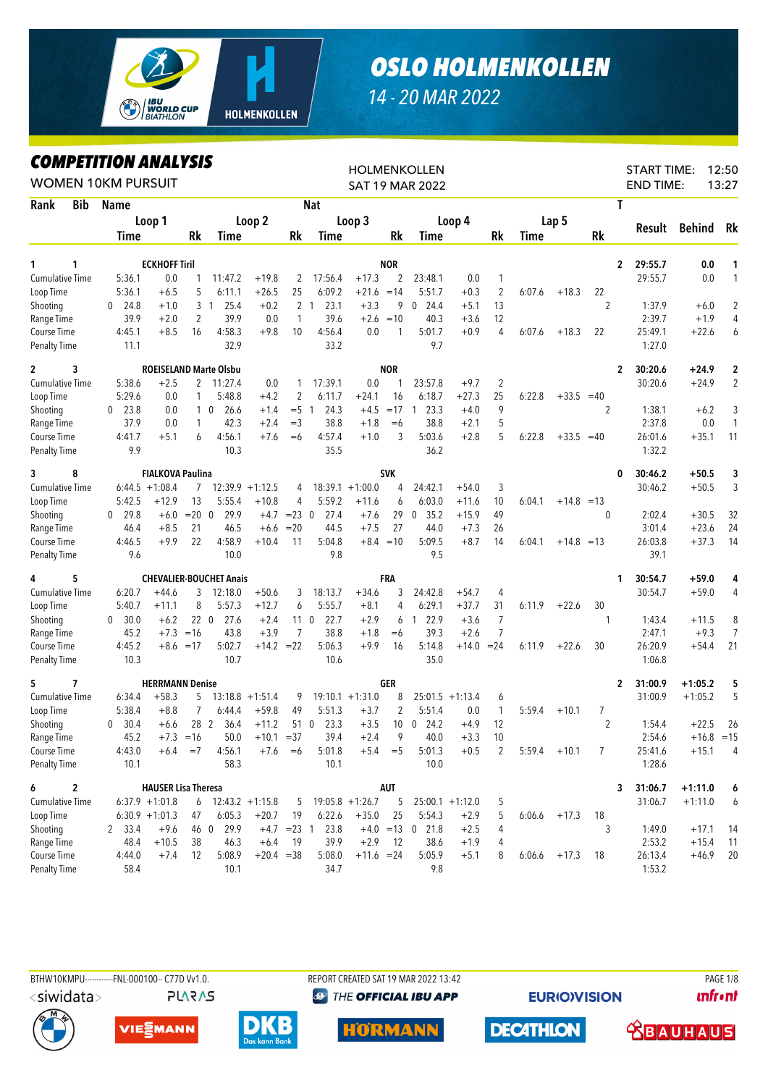

## *OSLO HOLMENKOLLEN*

## *14 - 20 MAR 2022*

*COMPETITION ANALYSIS*

|                                    | <i><b>COMPEILION ANALYSIS</b></i><br><b>WOMEN 10KM PURSUIT</b> |                            |              |                                |                    |                |                                |                    |             | <b>HOLMENKOLLEN</b><br><b>SAT 19 MAR 2022</b> |                    |                |             |                |                | <b>START TIME:</b><br><b>END TIME:</b> |                  | 12:50<br>13:27      |
|------------------------------------|----------------------------------------------------------------|----------------------------|--------------|--------------------------------|--------------------|----------------|--------------------------------|--------------------|-------------|-----------------------------------------------|--------------------|----------------|-------------|----------------|----------------|----------------------------------------|------------------|---------------------|
| Rank<br><b>Bib</b>                 | Name                                                           |                            |              |                                |                    |                | <b>Nat</b>                     |                    |             |                                               |                    |                |             |                |                | T                                      |                  |                     |
|                                    |                                                                | Loop 1                     |              |                                | Loop 2             |                |                                | Loop 3             |             |                                               | Loop 4             |                |             | Lap 5          |                |                                        |                  |                     |
|                                    | Time                                                           |                            | Rk           | Time                           |                    | Rk             | Time                           |                    | Rk          | Time                                          |                    | Rk             | <b>Time</b> |                | <b>Rk</b>      | Result                                 | Behind           | Rk                  |
|                                    |                                                                |                            |              |                                |                    |                |                                |                    |             |                                               |                    |                |             |                |                |                                        |                  |                     |
| 1<br>1                             |                                                                | <b>ECKHOFF Tiril</b>       |              |                                |                    |                |                                |                    | <b>NOR</b>  |                                               |                    |                |             |                |                | $\mathbf{2}$<br>29:55.7                | 0.0              | 1                   |
| <b>Cumulative Time</b>             | 5:36.1                                                         | 0.0                        | 1<br>5       | 11:47.2                        | $+19.8$<br>$+26.5$ | 2<br>25        | 17:56.4<br>6:09.2              | $+17.3$            | 2           | 23:48.1                                       | 0.0                | 1              |             |                |                | 29:55.7                                | 0.0              | 1                   |
| Loop Time                          | 5:36.1                                                         | $+6.5$                     |              | 6:11.1                         |                    |                |                                | $+21.6 = 14$       |             | 5:51.7                                        | $+0.3$             | $\overline{2}$ | 6:07.6      | $+18.3$        | 22             |                                        |                  |                     |
| Shooting                           | 24.8<br>0<br>39.9                                              | $+1.0$<br>$+2.0$           | 2            | 3 <sub>1</sub><br>25.4<br>39.9 | $+0.2$<br>0.0      | 1              | 2 <sub>1</sub><br>23.1<br>39.6 | $+3.3$<br>$+2.6$   | 9<br>$=10$  | 24.4<br>$\mathbf 0$<br>40.3                   | $+5.1$             | 13<br>12       |             |                | $\overline{2}$ | 1:37.9<br>2:39.7                       | $+6.0$<br>$+1.9$ | $\overline{2}$<br>4 |
| Range Time                         | 4:45.1                                                         | $+8.5$                     | 16           | 4:58.3                         | $+9.8$             | 10             | 4:56.4                         | 0.0                | 1           | 5:01.7                                        | $+3.6$<br>$+0.9$   | 4              |             |                | 22             | 25:49.1                                | $+22.6$          | 6                   |
| Course Time<br><b>Penalty Time</b> | 11.1                                                           |                            |              | 32.9                           |                    |                | 33.2                           |                    |             | 9.7                                           |                    |                | 6:07.6      | $+18.3$        |                | 1:27.0                                 |                  |                     |
| 3<br>$\mathbf{2}$                  |                                                                |                            |              | <b>ROEISELAND Marte Olsbu</b>  |                    |                |                                |                    | <b>NOR</b>  |                                               |                    |                |             |                |                | 30:20.6<br>$\mathbf{2}$                | $+24.9$          | 2                   |
| <b>Cumulative Time</b>             | 5:38.6                                                         | $+2.5$                     | 2            | 11:27.4                        | 0.0                | 1              | 17:39.1                        | 0.0                | 1           | 23:57.8                                       | $+9.7$             | $\overline{2}$ |             |                |                | 30:20.6                                | $+24.9$          | $\overline{2}$      |
| Loop Time                          | 5:29.6                                                         | 0.0                        | $\mathbf{1}$ | 5:48.8                         | $+4.2$             | 2              | 6:11.7                         | $+24.1$            | 16          | 6:18.7                                        | $+27.3$            | 25             | 6:22.8      | $+33.5 = 40$   |                |                                        |                  |                     |
| Shooting                           | 23.8<br>$\Omega$                                               | 0.0                        |              | 26.6<br>10                     | $+1.4$             | $= 5 \quad 1$  | 24.3                           | $+4.5$             | $=17$       | 23.3<br>$\overline{1}$                        | $+4.0$             | 9              |             |                | 2              | 1:38.1                                 | $+6.2$           | 3                   |
| Range Time                         | 37.9                                                           | 0.0                        | 1            | 42.3                           | $+2.4$             | $=$ 3          | 38.8                           | $+1.8$             | $=6$        | 38.8                                          | $+2.1$             | 5              |             |                |                | 2:37.8                                 | 0.0              | $\mathbf{1}$        |
| Course Time                        | 4:41.7                                                         | $+5.1$                     | 6            | 4:56.1                         | $+7.6$             | $= 6$          | 4:57.4                         | $+1.0$             | 3           | 5:03.6                                        | $+2.8$             | 5              | 6:22.8      | $+33.5 = 40$   |                | 26:01.6                                | $+35.1$          | 11                  |
| <b>Penalty Time</b>                | 9.9                                                            |                            |              | 10.3                           |                    |                | 35.5                           |                    |             | 36.2                                          |                    |                |             |                |                | 1:32.2                                 |                  |                     |
| 8<br>3                             |                                                                | <b>FIALKOVA Paulina</b>    |              |                                |                    |                |                                |                    | <b>SVK</b>  |                                               |                    |                |             |                |                | 30:46.2<br>0                           | $+50.5$          | 3                   |
| <b>Cumulative Time</b>             |                                                                | $6:44.5 +1:08.4$           | 7            |                                | $12:39.9 + 1:12.5$ | 4              |                                | $18:39.1 + 1:00.0$ | 4           | 24:42.1                                       | $+54.0$            | 3              |             |                |                | 30:46.2                                | $+50.5$          | 3                   |
| Loop Time                          | 5:42.5                                                         | $+12.9$                    | 13           | 5:55.4                         | $+10.8$            | 4              | 5:59.2                         | $+11.6$            | 6           | 6:03.0                                        | $+11.6$            | 10             | 6:04.1      | $+14.8 = 13$   |                |                                        |                  |                     |
| Shooting                           | 29.8<br>0                                                      | $+6.0$                     | $= 20 \ 0$   | 29.9                           | $+4.7$             | $= 23 \ 0$     | 27.4                           | $+7.6$             | 29          | 35.2<br>$\mathbf 0$                           | $+15.9$            | 49             |             |                | 0              | 2:02.4                                 | $+30.5$          | 32                  |
| Range Time                         | 46.4                                                           | $+8.5$                     | 21           | 46.5                           | $+6.6$             | $=20$          | 44.5                           | $+7.5$             | 27          | 44.0                                          | $+7.3$             | 26             |             |                |                | 3:01.4                                 | $+23.6$          | 24                  |
| Course Time                        | 4:46.5                                                         | $+9.9$                     | 22           | 4:58.9                         | $+10.4$            | 11             | 5:04.8                         |                    | $+8.4 = 10$ | 5:09.5                                        | $+8.7$             | 14             | 6:04.1      | $+14.8 = 13$   |                | 26:03.8                                | $+37.3$          | 14                  |
| <b>Penalty Time</b>                | 9.6                                                            |                            |              | 10.0                           |                    |                | 9.8                            |                    |             | 9.5                                           |                    |                |             |                |                | 39.1                                   |                  |                     |
| 5<br>4                             |                                                                |                            |              | <b>CHEVALIER-BOUCHET Anais</b> |                    |                |                                |                    | FRA         |                                               |                    |                |             |                |                | 30:54.7<br>1                           | $+59.0$          | 4                   |
| <b>Cumulative Time</b>             | 6:20.7                                                         | $+44.6$                    | 3            | 12:18.0                        | $+50.6$            | 3              | 18:13.7                        | $+34.6$            | 3           | 24:42.8                                       | $+54.7$            | 4              |             |                |                | 30:54.7                                | $+59.0$          | 4                   |
| Loop Time                          | 5:40.7                                                         | $+11.1$                    | 8            | 5:57.3                         | $+12.7$            | 6              | 5:55.7                         | $+8.1$             | 4           | 6:29.1                                        | $+37.7$            | 31             | 6:11.9      | $+22.6$        | 30             |                                        |                  |                     |
| Shooting                           | 30.0<br>$\mathbf{0}$                                           | $+6.2$                     | 22 0         | 27.6                           | $+2.4$             |                | 22.7<br>11 0                   | $+2.9$             | 6           | 122.9                                         | $+3.6$             | 7              |             |                | 1              | 1:43.4                                 | $+11.5$          | 8                   |
| Range Time                         | 45.2                                                           | $+7.3$                     | $=16$        | 43.8                           | $+3.9$             | $\overline{7}$ | 38.8                           | $+1.8$             | $=6$        | 39.3                                          | $+2.6$             | $\overline{7}$ |             |                |                | 2:47.1                                 | $+9.3$           | $\overline{7}$      |
| Course Time                        | 4:45.2                                                         |                            | $+8.6 = 17$  | 5:02.7                         | $+14.2 = 22$       |                | 5:06.3                         | $+9.9$             | 16          | 5:14.8                                        | $+14.0$            | $= 24$         | 6:11.9      | $+22.6$        | 30             | 26:20.9                                | $+54.4$          | 21                  |
| <b>Penalty Time</b>                | 10.3                                                           |                            |              | 10.7                           |                    |                | 10.6                           |                    |             | 35.0                                          |                    |                |             |                |                | 1:06.8                                 |                  |                     |
| 7<br>5                             |                                                                | <b>HERRMANN Denise</b>     |              |                                |                    |                |                                |                    | GER         |                                               |                    |                |             |                |                | 31:00.9<br>2                           | $+1:05.2$        | 5                   |
| <b>Cumulative Time</b>             | 6:34.4                                                         | $+58.3$                    | 5            |                                | $13:18.8 + 1:51.4$ | 9              |                                | $19:10.1 + 1:31.0$ | 8           |                                               | $25:01.5 +1:13.4$  | 6              |             |                |                | 31:00.9                                | $+1:05.2$        | 5                   |
| Loop Time                          | 5:38.4                                                         | $+8.8$                     | 7            | 6:44.4                         | $+59.8$            | 49             | 5:51.3                         | $+3.7$             | 2           | 5:51.4                                        | 0.0                | 1              | 5:59.4      | $+10.1$        | 7              |                                        |                  |                     |
| Shooting                           | 30.4<br>$\mathbf{0}$                                           | $+6.6$                     | 28 2         | 36.4                           | $+11.2$            |                | 23.3<br>51 0                   | $+3.5$             | 10          | $\overline{0}$<br>24.2                        | $+4.9$             | 12             |             |                | $\overline{2}$ | 1:54.4                                 | $+22.5$          | 26                  |
| Range Time                         | 45.2                                                           |                            | $+7.3 = 16$  |                                | $50.0 + 10.1 = 37$ |                | 39.4                           | $+2.4$             | 9           | 40.0                                          | $+3.3$             | 10             |             |                |                | 2:54.6                                 | $+16.8 = 15$     |                     |
| Course Time                        | 4:43.0                                                         | $+6.4$                     | $=7$         | 4:56.1                         | $+7.6$             | $=6$           | 5:01.8                         |                    | $+5.4 = 5$  | 5:01.3                                        | $+0.5$             | $\overline{2}$ | 5:59.4      | $+10.1$        | 7              | 25:41.6                                | $+15.1$          | 4                   |
| <b>Penalty Time</b>                | 10.1                                                           |                            |              | 58.3                           |                    |                | 10.1                           |                    |             | 10.0                                          |                    |                |             |                |                | 1:28.6                                 |                  |                     |
| 6<br>2                             |                                                                | <b>HAUSER Lisa Theresa</b> |              |                                |                    |                |                                |                    | <b>AUT</b>  |                                               |                    |                |             |                |                | 31:06.7<br>3                           | $+1:11.0$        | 6                   |
| <b>Cumulative Time</b>             |                                                                | $6:37.9 +1:01.8$           |              | $6$ 12:43.2 +1:15.8            |                    |                | $5$ 19:05.8 +1:26.7            |                    | 5           |                                               | $25:00.1 + 1:12.0$ | 5              |             |                |                | 31:06.7                                | $+1:11.0$        | 6                   |
| Loop Time                          |                                                                | $6:30.9 +1:01.3$           | 47           | 6:05.3                         | $+20.7$            | 19             | 6:22.6                         | $+35.0$            | 25          | 5:54.3                                        | $+2.9$             | 5              |             | $6:06.6$ +17.3 | 18             |                                        |                  |                     |
| Shooting                           | 2 33.4                                                         | $+9.6$                     |              | 46 0 29.9                      |                    | $+4.7$ =23 1   | 23.8                           |                    |             | $+4.0 = 13$ 0 21.8                            | $+2.5$             | 4              |             |                | 3              | 1:49.0                                 | $+17.1$          | 14                  |
| Range Time                         | 48.4                                                           | $+10.5$                    | 38           | 46.3                           | $+6.4$             | 19             | 39.9                           | $+2.9$             | -12         | 38.6                                          | $+1.9$             | 4              |             |                |                | 2:53.2                                 | $+15.4$          | 11                  |
| Course Time                        | 4:44.0                                                         | $+7.4$                     | 12           | 5:08.9                         | $+20.4 = 38$       |                | 5:08.0                         | $+11.6 = 24$       |             | 5:05.9                                        | $+5.1$             | 8              |             | $6:06.6$ +17.3 | 18             | 26:13.4                                | $+46.9$          | 20                  |
| <b>Penalty Time</b>                | 58.4                                                           |                            |              | 10.1                           |                    |                | 34.7                           |                    |             | 9.8                                           |                    |                |             |                |                | 1:53.2                                 |                  |                     |

<siwidata>

**PLARAS** 

BTHW10KMPU-----------FNL-000100-- C77D Vv1.0. REPORT CREATED SAT 19 MAR 2022 13:42 REPORT CREATED SAT 19 MAR 2022 13:42 **@ THE OFFICIAL IBU APP** 

**EURIO)VISION** 

**unfront** 











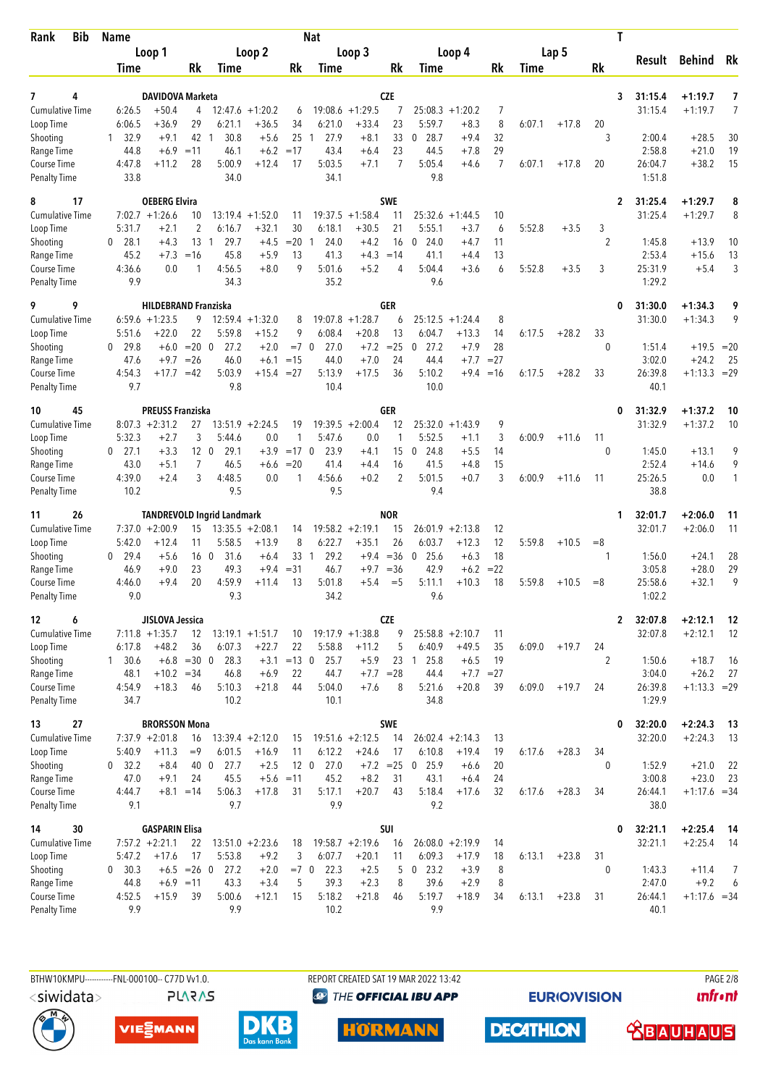| <b>Bib</b><br>Rank                  | <b>Name</b>           |                              |                              |                                   |                               |                       | <b>Nat</b>           |                               |                   |                               |                    |                 |        |         | T                  |                    |                           |          |
|-------------------------------------|-----------------------|------------------------------|------------------------------|-----------------------------------|-------------------------------|-----------------------|----------------------|-------------------------------|-------------------|-------------------------------|--------------------|-----------------|--------|---------|--------------------|--------------------|---------------------------|----------|
|                                     |                       | Loop 1                       |                              |                                   | Loop 2                        |                       |                      | Loop 3                        |                   |                               | Loop 4             |                 |        | Lap 5   |                    |                    |                           |          |
|                                     | Time                  |                              | Rk                           | Time                              |                               | Rk                    | Time                 |                               | Rk                | Time                          |                    | Rk              | Time   |         | Rk                 | Result             | <b>Behind</b>             | Rk       |
|                                     |                       |                              |                              |                                   |                               |                       |                      |                               |                   |                               |                    |                 |        |         |                    |                    |                           |          |
| 7<br>4                              |                       | <b>DAVIDOVA Marketa</b>      |                              |                                   |                               |                       |                      | $+1:29.5$                     | <b>CZE</b>        |                               | $25:08.3 + 1:20.2$ |                 |        |         | 3                  | 31:15.4            | $+1:19.7$                 | 7<br>7   |
| <b>Cumulative Time</b><br>Loop Time | 6:26.5<br>6:06.5      | $+50.4$<br>+36.9             | 4<br>29                      | 6:21.1                            | $12:47.6 + 1:20.2$<br>$+36.5$ | 6<br>34               | 19:08.6<br>6:21.0    | $+33.4$                       | 7<br>23           | 5:59.7                        | $+8.3$             | 7<br>8          | 6:07.1 | $+17.8$ | 20                 | 31:15.4            | $+1:19.7$                 |          |
| Shooting                            | 32.9<br>1             | $+9.1$                       | 42                           | 30.8<br>-1                        | $+5.6$                        | 25                    | 27.9<br>$\mathbf{1}$ | $+8.1$                        | 33                | 28.7<br>0                     | $+9.4$             | 32              |        |         | 3                  | 2:00.4             | $+28.5$                   | 30       |
| Range Time                          | 44.8                  | $+6.9$                       | $=11$                        | 46.1                              | $+6.2$                        | $=17$                 | 43.4                 | $+6.4$                        | 23                | 44.5                          | $+7.8$             | 29              |        |         |                    | 2:58.8             | $+21.0$                   | 19       |
| Course Time                         | 4:47.8                | $+11.2$                      | 28                           | 5:00.9                            | $+12.4$                       | 17                    | 5:03.5               | $+7.1$                        | $\overline{7}$    | 5:05.4                        | $+4.6$             | $\overline{7}$  | 6:07.1 | $+17.8$ | 20                 | 26:04.7            | $+38.2$                   | 15       |
| <b>Penalty Time</b>                 | 33.8                  |                              |                              | 34.0                              |                               |                       | 34.1                 |                               |                   | 9.8                           |                    |                 |        |         |                    | 1:51.8             |                           |          |
| 17<br>8                             |                       | <b>OEBERG Elvira</b>         |                              |                                   |                               |                       |                      |                               | <b>SWE</b>        |                               |                    |                 |        |         | 2                  | 31:25.4            | $+1:29.7$                 | 8        |
| <b>Cumulative Time</b>              |                       | $7:02.7 +1:26.6$             | 10                           | 13:19.4                           | $+1:52.0$                     | 11                    | 19:37.5              | $+1:58.4$                     | 11                |                               | $25:32.6 + 1:44.5$ | 10              |        |         |                    | 31:25.4            | $+1:29.7$                 | 8        |
| Loop Time                           | 5:31.7                | $+2.1$                       | 2                            | 6:16.7                            | $+32.1$                       | 30                    | 6:18.1               | $+30.5$                       | 21                | 5:55.1                        | $+3.7$             | 6               | 5:52.8 | $+3.5$  | 3                  |                    |                           |          |
| Shooting<br>Range Time              | $0$ 28.1<br>45.2      | $+4.3$<br>$+7.3$             | $13-1$<br>$=16$              | 29.7<br>45.8                      | $+4.5$<br>$+5.9$              | $=20$<br>13           | 24.0<br>1<br>41.3    | $+4.2$<br>$+4.3$              | 16<br>$=14$       | 24.0<br>$\mathbf 0$<br>41.1   | +4.7<br>$+4.4$     | 11<br>13        |        |         | $\overline{2}$     | 1:45.8<br>2:53.4   | $+13.9$<br>$+15.6$        | 10<br>13 |
| Course Time                         | 4:36.6                | 0.0                          | 1                            | 4:56.5                            | $+8.0$                        | 9                     | 5:01.6               | $+5.2$                        | 4                 | 5:04.4                        | $+3.6$             | 6               | 5:52.8 | $+3.5$  | 3                  | 25:31.9            | $+5.4$                    | 3        |
| <b>Penalty Time</b>                 | 9.9                   |                              |                              | 34.3                              |                               |                       | 35.2                 |                               |                   | 9.6                           |                    |                 |        |         |                    | 1:29.2             |                           |          |
| 9<br>9                              |                       | <b>HILDEBRAND Franziska</b>  |                              |                                   |                               |                       |                      |                               | GER               |                               |                    |                 |        |         | 0                  | 31:30.0            | $+1:34.3$                 | 9        |
| <b>Cumulative Time</b>              |                       | $6:59.6 + 1:23.5$            | 9                            | 12:59.4                           | $+1:32.0$                     | 8                     | 19:07.8              | $+1:28.7$                     | 6                 | 25:12.5                       | $+1:24.4$          | 8               |        |         |                    | 31:30.0            | $+1:34.3$                 | 9        |
| Loop Time                           | 5:51.6                | $+22.0$                      | 22                           | 5:59.8                            | $+15.2$                       | 9                     | 6:08.4               | $+20.8$                       | 13                | 6:04.7                        | $+13.3$            | 14              | 6:17.5 | $+28.2$ | 33                 |                    |                           |          |
| Shooting                            | 29.8<br>0             | $+6.0$                       | $=20$                        | $\overline{0}$<br>27.2            | $+2.0$                        | $=7$ 0                | 27.0                 | $+7.2$                        | $=25$             | 27.2<br>0                     | $+7.9$             | 28              |        |         | $\mathbf{0}$       | 1:51.4             | $+19.5 = 20$              |          |
| Range Time                          | 47.6<br>4:54.3        | $+9.7$<br>$+17.7$            | $=26$<br>$=42$               | 46.0<br>5:03.9                    | $+6.1$<br>$+15.4 = 27$        | $=15$                 | 44.0<br>5:13.9       | $+7.0$<br>$+17.5$             | 24<br>36          | 44.4<br>5:10.2                | $+7.7$<br>$+9.4$   | $= 27$<br>$=16$ | 6:17.5 | $+28.2$ | 33                 | 3:02.0<br>26:39.8  | $+24.2$<br>$+1:13.3 = 29$ | 25       |
| Course Time<br><b>Penalty Time</b>  | 9.7                   |                              |                              | 9.8                               |                               |                       | 10.4                 |                               |                   | 10.0                          |                    |                 |        |         |                    | 40.1               |                           |          |
| 45<br>10                            |                       | <b>PREUSS Franziska</b>      |                              |                                   |                               |                       |                      |                               | <b>GER</b>        |                               |                    |                 |        |         | 0                  | 31:32.9            | $+1:37.2$                 | 10       |
| <b>Cumulative Time</b>              |                       | $8:07.3 +2:31.2$             | 27                           |                                   | $13:51.9 + 2:24.5$            | 19                    |                      | $19:39.5 + 2:00.4$            | 12                |                               | $25:32.0 +1:43.9$  | 9               |        |         |                    | 31:32.9            | $+1:37.2$                 | 10       |
| Loop Time                           | 5:32.3                | $+2.7$                       | 3                            | 5:44.6                            | 0.0                           | 1                     | 5:47.6               | 0.0                           | 1                 | 5:52.5                        | $+1.1$             | 3               | 6:00.9 | $+11.6$ | 11                 |                    |                           |          |
| Shooting                            | $0$ 27.1              | $+3.3$                       | 12 <sub>0</sub>              | 29.1                              | $+3.9$                        | $=17$ 0               | 23.9                 | $+4.1$                        | 15                | 24.8<br>0                     | $+5.5$             | 14              |        |         | 0                  | 1:45.0             | $+13.1$                   | 9        |
| Range Time                          | 43.0<br>4:39.0        | $+5.1$<br>$+2.4$             | 7<br>3                       | 46.5<br>4:48.5                    | $+6.6$<br>0.0                 | $=20$<br>$\mathbf{1}$ | 41.4<br>4:56.6       | $+4.4$<br>$+0.2$              | 16<br>2           | 41.5<br>5:01.5                | $+4.8$<br>$+0.7$   | 15<br>3         | 6:00.9 | $+11.6$ | 11                 | 2:52.4<br>25:26.5  | $+14.6$<br>0.0            | 9<br>1   |
| Course Time<br><b>Penalty Time</b>  | 10.2                  |                              |                              | 9.5                               |                               |                       | 9.5                  |                               |                   | 9.4                           |                    |                 |        |         |                    | 38.8               |                           |          |
| 26<br>11                            |                       |                              |                              | <b>TANDREVOLD Ingrid Landmark</b> |                               |                       |                      |                               | <b>NOR</b>        |                               |                    |                 |        |         | 1                  | 32:01.7            | $+2:06.0$                 | 11       |
| <b>Cumulative Time</b>              |                       | $7:37.0 + 2:00.9$            | 15                           |                                   | $13:35.5 + 2:08.1$            | 14                    |                      | $19:58.2 + 2:19.1$            | 15                | 26:01.9                       | $+2:13.8$          | 12              |        |         |                    | 32:01.7            | $+2:06.0$                 | 11       |
| Loop Time                           | 5:42.0                | $+12.4$                      | 11                           | 5:58.5                            | $+13.9$                       | 8                     | 6:22.7               | $+35.1$                       | 26                | 6:03.7                        | $+12.3$            | 12              | 5:59.8 | $+10.5$ | $= 8$              |                    |                           |          |
| Shooting                            | 29.4<br>0             | $+5.6$                       |                              | 16 <sub>0</sub><br>31.6           | $+6.4$                        | $33-1$                | 29.2                 |                               | $+9.4 = 36$       | 25.6<br>$\mathbf 0$           | $+6.3$             | 18              |        |         | 1                  | 1:56.0             | $+24.1$                   | 28       |
| Range Time                          | 46.9                  | $+9.0$                       | 23                           | 49.3                              | $+9.4$                        | $= 31$                | 46.7                 | $+9.7 = 36$                   |                   | 42.9                          | $+6.2$             | $= 22$          |        |         |                    | 3:05.8             | $+28.0$                   | 29       |
| Course Time                         | 4:46.0                | $+9.4$                       | 20                           | 4:59.9<br>9.3                     | $+11.4$                       | 13                    | 5:01.8               | $+5.4$                        | $=$ 5             | 5:11.1                        | $+10.3$            | 18              | 5:59.8 | $+10.5$ | $=8$               | 25:58.6            | $+32.1$                   | 9        |
| <b>Penalty Time</b>                 | 9.0                   |                              |                              |                                   |                               |                       | 34.2                 |                               |                   | 9.6                           |                    |                 |        |         |                    | 1:02.2             |                           |          |
| 12<br>6                             |                       | JISLOVA Jessica              |                              |                                   |                               |                       |                      |                               | <b>CZE</b><br>9   |                               |                    |                 |        |         | $\mathbf{2}$       | 32:07.8<br>32:07.8 | $+2:12.1$<br>$+2:12.1$    | 12       |
| Cumulative Time<br>Loop Time        | 6:17.8                | $7:11.8 + 1:35.7$<br>$+48.2$ | 12<br>36                     | 6:07.3                            | $13:19.1 + 1:51.7$<br>$+22.7$ | 10<br>22              | 5:58.8               | $19:17.9 + 1:38.8$<br>$+11.2$ | 5                 | $25:58.8 + 2:10.7$<br>6:40.9  | $+49.5$            | 11<br>35        | 6:09.0 | $+19.7$ | 24                 |                    |                           | -12      |
| Shooting                            | $1 \quad 30.6$        |                              | $+6.8 = 30 \space 0$         | 28.3                              |                               | $+3.1 = 13$ 0         | 25.7                 | $+5.9$                        | 23                | $1\quad 25.8$                 | $+6.5$             | 19              |        |         | 2                  | 1:50.6             | $+18.7$                   | 16       |
| Range Time                          | 48.1                  | $+10.2 = 34$                 |                              | 46.8                              | $+6.9$                        | 22                    | 44.7                 | $+7.7 = 28$                   |                   | 44.4                          | $+7.7 = 27$        |                 |        |         |                    | 3:04.0             | $+26.2$                   | 27       |
| Course Time                         | 4:54.9                | $+18.3$                      | 46                           | 5:10.3                            | $+21.8$                       | 44                    | 5:04.0               | $+7.6$                        | 8                 | 5:21.6                        | $+20.8$            | 39              | 6:09.0 | $+19.7$ | 24                 | 26:39.8            | $+1:13.3 = 29$            |          |
| <b>Penalty Time</b>                 | 34.7                  |                              |                              | 10.2                              |                               |                       | 10.1                 |                               |                   | 34.8                          |                    |                 |        |         |                    | 1:29.9             |                           |          |
| 27<br>13                            |                       | <b>BRORSSON Mona</b>         |                              |                                   |                               |                       |                      |                               | SWE               |                               |                    |                 |        |         | 0                  | 32:20.0            | $+2:24.3$                 | - 13     |
| <b>Cumulative Time</b>              |                       | $7:37.9 +2:01.8$             | 16                           |                                   | $13:39.4 +2:12.0$             | 15                    |                      | $19:51.6 +2:12.5$             | 14                |                               | $26:02.4 +2:14.3$  | 13              |        |         |                    | 32:20.0            | $+2:24.3$                 | 13       |
| Loop Time<br>Shooting               | 5:40.9<br>$0$ 32.2    | $+11.3$<br>$+8.4$            | $=9$<br>40 0                 | 6:01.5<br>27.7                    | $+16.9$<br>$+2.5$             | 11<br>12 <sub>0</sub> | 6:12.2<br>27.0       | $+24.6$                       | 17<br>$+7.2 = 25$ | 6:10.8<br>$\mathbf 0$<br>25.9 | $+19.4$<br>$+6.6$  | 19<br>20        | 6:17.6 | $+28.3$ | 34<br>$\mathbf{0}$ | 1:52.9             | $+21.0$                   | 22       |
| Range Time                          | 47.0                  | $+9.1$                       | 24                           | 45.5                              |                               | $+5.6 = 11$           | 45.2                 | $+8.2$                        | 31                | 43.1                          | $+6.4$             | 24              |        |         |                    | 3:00.8             | $+23.0$                   | 23       |
| Course Time                         | 4:44.7                |                              | $+8.1 = 14$                  | 5:06.3                            | $+17.8$                       | 31                    | 5:17.1               | $+20.7$                       | 43                | 5:18.4                        | $+17.6$            | 32              | 6:17.6 | $+28.3$ | 34                 | 26:44.1            | $+1:17.6 = 34$            |          |
| <b>Penalty Time</b>                 | 9.1                   |                              |                              | 9.7                               |                               |                       | 9.9                  |                               |                   | 9.2                           |                    |                 |        |         |                    | 38.0               |                           |          |
| 14<br>30                            |                       | <b>GASPARIN Elisa</b>        |                              |                                   |                               |                       |                      |                               | SUI               |                               |                    |                 |        |         | 0                  | 32:21.1            | $+2:25.4$                 | - 14     |
| <b>Cumulative Time</b>              |                       | $7:57.2 +2:21.1$             | 22                           |                                   | $13:51.0 + 2:23.6$            | 18                    |                      | $19:58.7 + 2:19.6$            | 16                | $26:08.0 + 2:19.9$            |                    | 14              |        |         |                    | 32:21.1            | $+2:25.4$                 | - 14     |
| Loop Time                           | 5:47.2                | $+17.6$                      | 17                           | 5:53.8<br>27.2                    | $+9.2$<br>$+2.0$              | 3<br>$=7$ 0           | 6:07.7<br>22.3       | $+20.1$<br>$+2.5$             | 11                | 6:09.3<br>$0$ 23.2            | $+17.9$<br>$+3.9$  | 18              | 6:13.1 | $+23.8$ | 31<br>$\mathbf 0$  | 1:43.3             |                           |          |
| Shooting<br>Range Time              | $0\quad 30.3$<br>44.8 |                              | $+6.5 = 26$ 0<br>$+6.9 = 11$ | 43.3                              | $+3.4$                        | 5                     | 39.3                 | $+2.3$                        | 5<br>8            | 39.6                          | $+2.9$             | 8<br>8          |        |         |                    | 2:47.0             | $+11.4$<br>$+9.2$         | 7<br>6   |
| Course Time                         | 4:52.5                | $+15.9$                      | 39                           | 5:00.6                            | $+12.1$                       | 15                    | 5:18.2               | $+21.8$                       | 46                | 5:19.7                        | $+18.9$            | 34              | 6:13.1 | $+23.8$ | 31                 | 26:44.1            | $+1:17.6 = 34$            |          |
| <b>Penalty Time</b>                 | 9.9                   |                              |                              | 9.9                               |                               |                       | 10.2                 |                               |                   | 9.9                           |                    |                 |        |         |                    | 40.1               |                           |          |

BTHW10KMPU-----------FNL-000100-- C77D Vv1.0. <siwidata>

**PLARAS** 





REPORT CREATED SAT 19 MAR 2022 13:42 <sup><sup>9</sup> THE OFFICIAL IBU APP</sup>

**HÖRMANN** 

**DECATHLON** 

**EURIOVISION** 



**PAGE 2/8**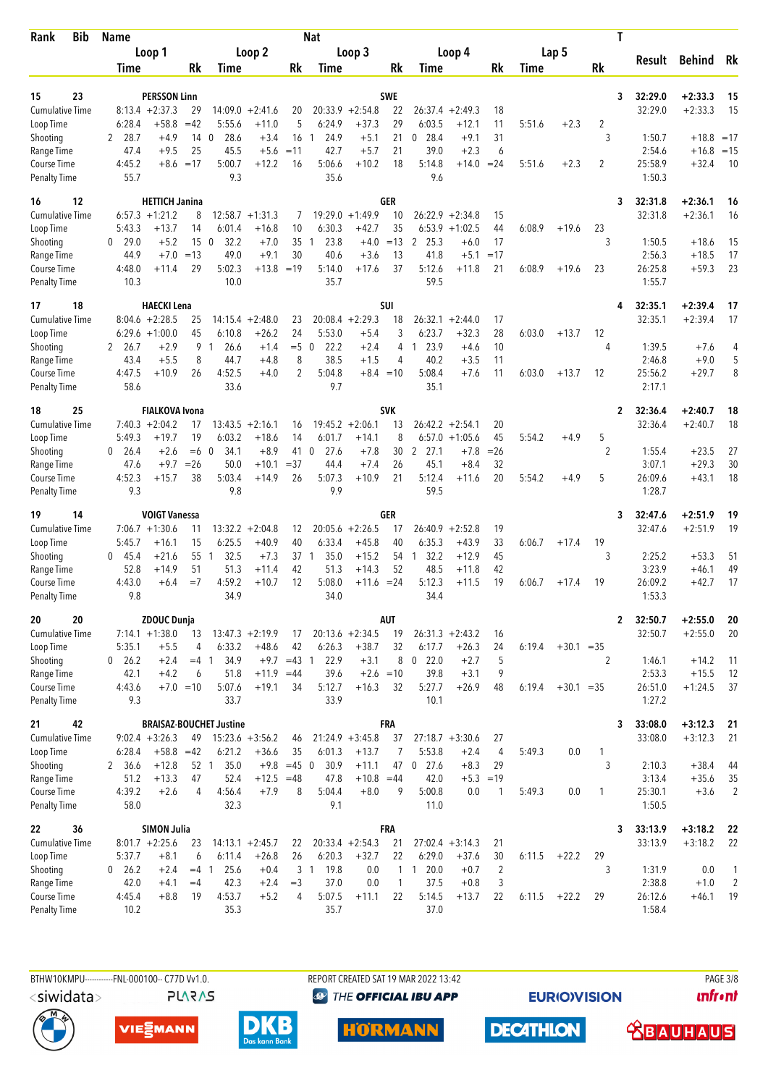| Bib<br>Rank                         | <b>Name</b>                    |                                   |                          |                                |                               |                | <b>Nat</b>         |                               |              |                      |                              |             |        |              |                     | T                       |                    |                |
|-------------------------------------|--------------------------------|-----------------------------------|--------------------------|--------------------------------|-------------------------------|----------------|--------------------|-------------------------------|--------------|----------------------|------------------------------|-------------|--------|--------------|---------------------|-------------------------|--------------------|----------------|
|                                     |                                | Loop 1                            |                          |                                | Loop 2                        |                |                    | Loop 3                        |              |                      | Loop 4                       |             |        | Lap 5        |                     | Result                  | <b>Behind</b>      | Rk             |
|                                     | Time                           |                                   | Rk                       | Time                           |                               | Rk             | Time               |                               | Rk           | Time                 |                              | Rk          | Time   |              | Rk                  |                         |                    |                |
| 23<br>15                            |                                | <b>PERSSON Linn</b>               |                          |                                |                               |                |                    |                               | <b>SWE</b>   |                      |                              |             |        |              |                     | 3<br>32:29.0            | $+2:33.3$          | 15             |
| <b>Cumulative Time</b>              |                                | $8:13.4 +2:37.3$                  | 29                       | 14:09.0                        | $+2:41.6$                     | 20             | 20:33.9            | $+2:54.8$                     | 22           | 26:37.4              | $+2:49.3$                    | 18          |        |              |                     | 32:29.0                 | $+2:33.3$          | 15             |
| Loop Time                           | 6:28.4                         | $+58.8$                           | $=42$                    | 5:55.6                         | $+11.0$                       | 5              | 6:24.9             | $+37.3$                       | 29           | 6:03.5               | $+12.1$                      | 11          | 5:51.6 | $+2.3$       | 2                   |                         |                    |                |
| Shooting                            | 28.7<br>2                      | $+4.9$                            | 14                       | $\mathbf{0}$<br>28.6           | $+3.4$                        | 16             | 24.9<br>-1         | $+5.1$                        | 21           | 28.4<br>0            | $+9.1$                       | 31          |        |              | 3                   | 1:50.7                  | $+18.8 = 17$       |                |
| Range Time<br><b>Course Time</b>    | 47.4<br>4:45.2                 | $+9.5$<br>$+8.6$                  | 25<br>$=17$              | 45.5<br>5:00.7                 | $+5.6$<br>$+12.2$             | $=11$<br>16    | 42.7<br>5:06.6     | $+5.7$<br>$+10.2$             | 21<br>18     | 39.0<br>5:14.8       | $+2.3$<br>$+14.0$            | 6<br>$= 24$ | 5:51.6 | $+2.3$       | 2                   | 2:54.6<br>25:58.9       | $+16.8$<br>$+32.4$ | $=15$<br>10    |
| <b>Penalty Time</b>                 | 55.7                           |                                   |                          | 9.3                            |                               |                | 35.6               |                               |              | 9.6                  |                              |             |        |              |                     | 1:50.3                  |                    |                |
| 12<br>16                            |                                | <b>HETTICH Janina</b>             |                          |                                |                               |                |                    |                               | <b>GER</b>   |                      |                              |             |        |              |                     | 32:31.8<br>3            | $+2:36.1$          | 16             |
| <b>Cumulative Time</b>              | 6:57.3                         | $+1:21.2$                         | 8                        |                                | $12:58.7 + 1:31.3$            | 7              | 19:29.0            | $+1:49.9$                     | 10           | 26:22.9              | $+2:34.8$                    | 15          |        |              |                     | 32:31.8                 | $+2:36.1$          | 16             |
| Loop Time                           | 5:43.3                         | $+13.7$                           | 14                       | 6:01.4                         | $+16.8$                       | 10             | 6:30.3             | $+42.7$                       | 35           | 6:53.9               | $+1:02.5$                    | 44          | 6:08.9 | $+19.6$      | 23                  |                         |                    |                |
| Shooting<br>Range Time              | $\mathbf{0}$<br>29.0<br>44.9   | $+5.2$<br>$+7.0$                  | 15 <sub>0</sub><br>$=13$ | 32.2<br>49.0                   | $+7.0$<br>$+9.1$              | 35<br>30       | 23.8<br>-1<br>40.6 | $+4.0$<br>$+3.6$              | $=13$<br>13  | 2<br>25.3<br>41.8    | +6.0<br>$+5.1$               | 17<br>$=17$ |        |              | 3                   | 1:50.5<br>2:56.3        | $+18.6$<br>$+18.5$ | 15<br>17       |
| <b>Course Time</b>                  | 4:48.0                         | $+11.4$                           | 29                       | 5:02.3                         | $+13.8$                       | $=19$          | 5:14.0             | $+17.6$                       | 37           | 5:12.6               | $+11.8$                      | 21          | 6:08.9 | $+19.6$      | 23                  | 26:25.8                 | $+59.3$            | 23             |
| <b>Penalty Time</b>                 | 10.3                           |                                   |                          | 10.0                           |                               |                | 35.7               |                               |              | 59.5                 |                              |             |        |              |                     | 1:55.7                  |                    |                |
| 18<br>17                            |                                | <b>HAECKI Lena</b>                |                          |                                |                               |                |                    |                               | SUI          |                      |                              |             |        |              |                     | 32:35.1                 | $+2:39.4$          | 17             |
| <b>Cumulative Time</b>              |                                | $8:04.6 + 2:28.5$                 | 25                       | 14:15.4                        | $+2:48.0$                     | 23             |                    | $20:08.4 +2:29.3$             | 18           | 26:32.1              | $+2:44.0$                    | 17          |        |              |                     | 32:35.1                 | $+2:39.4$          | 17             |
| Loop Time<br>Shooting               | 26.7<br>2                      | $6:29.6 +1:00.0$<br>$+2.9$        | 45<br>9                  | 6:10.8<br>26.6<br>$\mathbf{1}$ | $+26.2$<br>$+1.4$             | 24<br>$=5$ 0   | 5:53.0<br>22.2     | $+5.4$<br>$+2.4$              | 3<br>4       | 6:23.7<br>23.9<br>1  | $+32.3$<br>$+4.6$            | 28<br>10    | 6:03.0 | $+13.7$      | 12<br>4             | 1:39.5                  | $+7.6$             | 4              |
| Range Time                          | 43.4                           | $+5.5$                            | 8                        | 44.7                           | $+4.8$                        | 8              | 38.5               | $+1.5$                        | 4            | 40.2                 | $+3.5$                       | 11          |        |              |                     | 2:46.8                  | $+9.0$             | 5              |
| Course Time                         | 4:47.5                         | $+10.9$                           | 26                       | 4:52.5                         | $+4.0$                        | 2              | 5:04.8             | $+8.4 = 10$                   |              | 5:08.4               | +7.6                         | 11          | 6:03.0 | $+13.7$      | 12                  | 25:56.2                 | $+29.7$            | 8              |
| <b>Penalty Time</b>                 | 58.6                           |                                   |                          | 33.6                           |                               |                | 9.7                |                               |              | 35.1                 |                              |             |        |              |                     | 2:17.1                  |                    |                |
| 25<br>18                            |                                | <b>FIALKOVA Ivona</b>             |                          |                                |                               |                |                    |                               | <b>SVK</b>   |                      |                              |             |        |              |                     | 32:36.4<br>$\mathbf{2}$ | $+2:40.7$          | 18             |
| <b>Cumulative Time</b>              |                                | $7:40.3 + 2:04.2$                 | 17                       |                                | $13:43.5 + 2:16.1$            | 16             |                    | $19:45.2 + 2:06.1$            | 13           |                      | $26:42.2 + 2:54.1$           | 20          |        |              |                     | 32:36.4                 | $+2:40.7$          | 18             |
| Loop Time<br>Shooting               | 5:49.3<br>$0\quad 26.4$        | $+19.7$<br>$+2.6$                 | 19<br>$=6$ 0             | 6:03.2<br>34.1                 | $+18.6$<br>$+8.9$             | 14<br>41 0     | 6:01.7<br>27.6     | $+14.1$<br>$+7.8$             | 8<br>30      | 6:57.0<br>2, 27.1    | $+1:05.6$<br>$+7.8$          | 45<br>$=26$ | 5:54.2 | $+4.9$       | 5<br>$\overline{2}$ | 1:55.4                  | $+23.5$            | 27             |
| Range Time                          | 47.6                           | $+9.7$                            | $=26$                    | 50.0                           | $+10.1$                       | $=37$          | 44.4               | $+7.4$                        | 26           | 45.1                 | $+8.4$                       | 32          |        |              |                     | 3:07.1                  | $+29.3$            | 30             |
| Course Time                         | 4:52.3                         | $+15.7$                           | 38                       | 5:03.4                         | $+14.9$                       | 26             | 5:07.3             | $+10.9$                       | 21           | 5:12.4               | $+11.6$                      | 20          | 5:54.2 | $+4.9$       | 5                   | 26:09.6                 | $+43.1$            | 18             |
| <b>Penalty Time</b>                 | 9.3                            |                                   |                          | 9.8                            |                               |                | 9.9                |                               |              | 59.5                 |                              |             |        |              |                     | 1:28.7                  |                    |                |
| 14<br>19                            |                                | <b>VOIGT Vanessa</b>              |                          |                                |                               |                |                    |                               | GER          |                      |                              |             |        |              |                     | 32:47.6<br>3            | $+2:51.9$          | 19             |
| Cumulative Time                     |                                | $7:06.7 +1:30.6$                  | 11                       |                                | $13:32.2 + 2:04.8$            | 12<br>40       |                    | $20:05.6 +2:26.5$             | 17<br>40     |                      | $26:40.9 + 2:52.8$           | 19          |        |              |                     | 32:47.6                 | $+2:51.9$          | 19             |
| Loop Time<br>Shooting               | 5:45.7<br>45.4<br>$\mathbf{0}$ | $+16.1$<br>$+21.6$                | 15<br>55                 | 6:25.5<br>32.5<br>$\mathbf{1}$ | $+40.9$<br>$+7.3$             | 37 1           | 6:33.4<br>35.0     | $+45.8$<br>$+15.2$            | 54           | 6:35.3<br>32.2<br>-1 | $+43.9$<br>$+12.9$           | 33<br>45    | 6:06.7 | $+17.4$      | 19<br>3             | 2:25.2                  | $+53.3$            | 51             |
| Range Time                          | 52.8                           | $+14.9$                           | 51                       | 51.3                           | $+11.4$                       | 42             | 51.3               | $+14.3$                       | 52           | 48.5                 | $+11.8$                      | 42          |        |              |                     | 3:23.9                  | $+46.1$            | 49             |
| <b>Course Time</b>                  | 4:43.0                         | $+6.4$                            | $=7$                     | 4:59.2                         | $+10.7$                       | 12             | 5:08.0             | $+11.6 = 24$                  |              | 5:12.3               | +11.5                        | 19          | 6:06.7 | $+17.4$      | 19                  | 26:09.2                 | $+42.7$            | 17             |
| <b>Penalty Time</b>                 | 9.8                            |                                   |                          | 34.9                           |                               |                | 34.0               |                               |              | 34.4                 |                              |             |        |              |                     | 1:53.3                  |                    |                |
| 20<br>20                            |                                | <b>ZDOUC Dunja</b>                |                          |                                |                               |                |                    |                               | AUT          |                      |                              |             |        |              |                     | 32:50.7<br>$\mathbf{2}$ | $+2:55.0$          | 20             |
| Cumulative Time<br>Loop Time        | 5:35.1                         | $7:14.1 + 1:38.0$<br>$+5.5$       | 13<br>4                  | 6:33.2                         | $13:47.3 + 2:19.9$<br>$+48.6$ | 17<br>42       | 6:26.3             | $20:13.6 +2:34.5$<br>$+38.7$  | 19<br>32     | 6:17.7               | $26:31.3 +2:43.2$<br>$+26.3$ | 16<br>24    | 6:19.4 | $+30.1 = 35$ |                     | 32:50.7                 | $+2:55.0$          | 20             |
| Shooting                            | $0\quad 26.2$                  | $+2.4$                            | $=4$ 1                   | 34.9                           |                               | $+9.7 = 43$ 1  | 22.9               | $+3.1$                        | 8            | $0$ 22.0             | $+2.7$                       | 5           |        |              | 2                   | 1:46.1                  | $+14.2$            | 11             |
| Range Time                          | 42.1                           | $+4.2$                            | 6                        | 51.8                           | $+11.9 = 44$                  |                | 39.6               | $+2.6 = 10$                   |              | 39.8                 | $+3.1$                       | 9           |        |              |                     | 2:53.3                  | $+15.5$            | 12             |
| Course Time                         | 4:43.6                         |                                   | $+7.0 = 10$              | 5:07.6                         | $+19.1$                       | 34             | 5:12.7             | $+16.3$                       | 32           | 5:27.7               | $+26.9$                      | 48          | 6:19.4 | $+30.1 = 35$ |                     | 26:51.0                 | $+1:24.5$          | 37             |
| <b>Penalty Time</b>                 | 9.3                            |                                   |                          | 33.7                           |                               |                | 33.9               |                               |              | 10.1                 |                              |             |        |              |                     | 1:27.2                  |                    |                |
| 42<br>21                            |                                |                                   |                          | <b>BRAISAZ-BOUCHET Justine</b> |                               |                |                    |                               | <b>FRA</b>   |                      |                              |             |        |              |                     | 33:08.0<br>3            | $+3:12.3$          | -21            |
| Cumulative Time<br>Loop Time        | 6:28.4                         | $9:02.4 + 3:26.3$<br>$+58.8 = 42$ | 49                       | 6:21.2                         | $15:23.6 + 3:56.2$<br>$+36.6$ | 46<br>35       | 6:01.3             | $21:24.9 + 3:45.8$<br>$+13.7$ | 37<br>7      | 5:53.8               | $27:18.7 + 3:30.6$<br>$+2.4$ | 27<br>4     | 5:49.3 | 0.0          | $\mathbf{1}$        | 33:08.0                 | $+3:12.3$          | 21             |
| Shooting                            | 2 36.6                         | $+12.8$                           | 52 1                     | 35.0                           | $+9.8$                        | $=45$ 0        | 30.9               | $+11.1$                       | 47           | 27.6<br>$\mathbf 0$  | $+8.3$                       | 29          |        |              | 3                   | 2:10.3                  | $+38.4$            | 44             |
| Range Time                          | 51.2                           | $+13.3$                           | 47                       | 52.4                           | $+12.5 = 48$                  |                | 47.8               | $+10.8$                       | $=44$        | 42.0                 |                              | $+5.3 = 19$ |        |              |                     | 3:13.4                  | $+35.6$            | 35             |
| Course Time                         | 4:39.2                         | $+2.6$                            | 4                        | 4:56.4                         | $+7.9$                        | 8              | 5:04.4             | $+8.0$                        | 9            | 5:00.8               | 0.0                          | 1           | 5:49.3 | 0.0          | 1                   | 25:30.1                 | $+3.6$             | 2              |
| <b>Penalty Time</b>                 | 58.0                           |                                   |                          | 32.3                           |                               |                | 9.1                |                               |              | 11.0                 |                              |             |        |              |                     | 1:50.5                  |                    |                |
| 36<br>22                            |                                | <b>SIMON Julia</b>                |                          |                                |                               |                |                    |                               | <b>FRA</b>   |                      |                              |             |        |              |                     | 33:13.9<br>3            | $+3:18.2$          | 22             |
| <b>Cumulative Time</b><br>Loop Time | 5:37.7                         | $8:01.7 +2:25.6$<br>$+8.1$        | 23<br>6                  | 6:11.4                         | $14:13.1 + 2:45.7$<br>$+26.8$ | 22<br>26       | 6:20.3             | $20:33.4 +2:54.3$<br>$+32.7$  | 21<br>22     | 6:29.0               | $27:02.4 +3:14.3$<br>$+37.6$ | 21<br>30    | 6:11.5 | $+22.2$      | 29                  | 33:13.9                 | $+3:18.2$          | 22             |
| Shooting                            | $0$ 26.2                       | $+2.4$                            | $=4 \; 1$                | 25.6                           | $+0.4$                        |                | 3 1 19.8           | 0.0                           |              | $1 \t1 \t20.0$       | $+0.7$                       | 2           |        |              | 3                   | 1:31.9                  | 0.0                | $\mathbf{1}$   |
| Range Time                          | 42.0                           | $+4.1$                            | $=4$                     | 42.3                           | $+2.4$                        | $=$ 3          | 37.0               | 0.0                           | $\mathbf{1}$ | 37.5                 | $+0.8$                       | 3           |        |              |                     | 2:38.8                  | $+1.0$             | $\overline{2}$ |
| Course Time                         | 4:45.4                         | $+8.8$                            | 19                       | 4:53.7                         | $+5.2$                        | $\overline{4}$ | 5:07.5             | $+11.1$                       | 22           | 5:14.5               | $+13.7$                      | 22          | 6:11.5 | $+22.2$      | 29                  | 26:12.6                 | $+46.1$            | -19            |
| <b>Penalty Time</b>                 | 10.2                           |                                   |                          | 35.3                           |                               |                | 35.7               |                               |              | 37.0                 |                              |             |        |              |                     | 1:58.4                  |                    |                |

<siwidata>

**PLARAS** 

BTHW10KMPU-----------FNL-000100-- C77D W1.0. REPORT CREATED SAT 19 MAR 2022 13:42 PAGE 3/8 <sup><sup>9</sup> THE OFFICIAL IBU APP</sup>

**EURIOVISION** 

*<u><u>Infront</u>*</u>









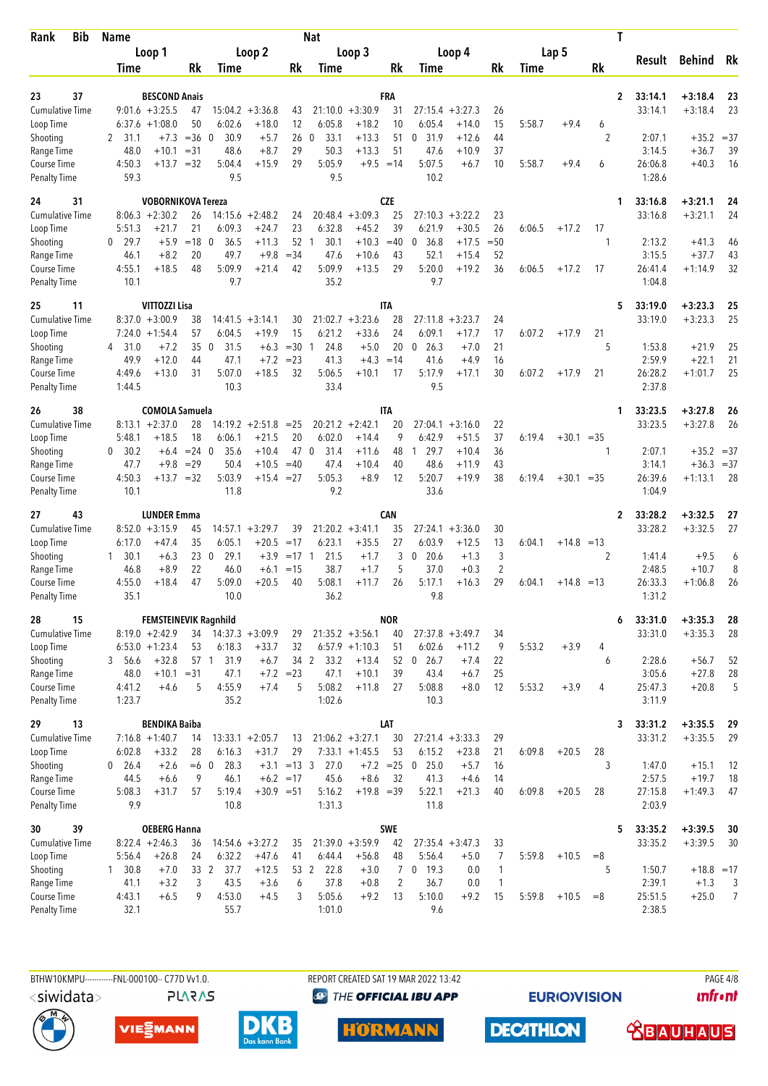| <b>Bib</b><br>Rank                  | <b>Name</b>                            |                                   |                              |                                  | <b>Nat</b>                     |                                        |             |                             |                      |                      |        |              | T              |                    |                        |          |
|-------------------------------------|----------------------------------------|-----------------------------------|------------------------------|----------------------------------|--------------------------------|----------------------------------------|-------------|-----------------------------|----------------------|----------------------|--------|--------------|----------------|--------------------|------------------------|----------|
|                                     | Loop 1                                 |                                   | Loop 2                       |                                  |                                | Loop 3                                 |             |                             | Loop 4               |                      |        | Lap 5        |                | Result             | <b>Behind</b>          | Rk       |
|                                     | Time                                   | <b>Rk</b>                         | Time                         | Rk                               | Time                           |                                        | Rk          | Time                        |                      | Rk                   | Time   |              | Rk             |                    |                        |          |
| 37<br>23                            |                                        | <b>BESCOND Anais</b>              |                              |                                  |                                |                                        | FRA         |                             |                      |                      |        |              | $\overline{2}$ | 33:14.1            | $+3:18.4$              | 23       |
| <b>Cumulative Time</b>              | $9:01.6 + 3:25.5$                      | 47                                | $15:04.2 + 3:36.8$           | 43                               |                                | $21:10.0 + 3:30.9$                     | 31          | 27:15.4                     | $+3:27.3$            | 26                   |        |              |                | 33:14.1            | $+3:18.4$              | 23       |
| Loop Time                           | $6:37.6 +1:08.0$                       | 50                                | 6:02.6                       | $+18.0$<br>12                    | 6:05.8                         | $+18.2$                                | 10          | 6:05.4                      | $+14.0$              | 15                   | 5:58.7 | $+9.4$       | 6              |                    |                        |          |
| Shooting                            | 2<br>31.1                              | $=36$<br>$+7.3$                   | 30.9<br>$\mathbf{0}$         | 26<br>$+5.7$                     | 33.1<br>$\mathbf 0$            | $+13.3$                                | 51          | 31.9<br>0                   | $+12.6$              | 44                   |        |              | 2              | 2:07.1             | $+35.2 = 37$           |          |
| Range Time<br><b>Course Time</b>    | 48.0<br>4:50.3                         | $= 31$<br>$+10.1$<br>$+13.7 = 32$ | 48.6<br>5:04.4               | 29<br>$+8.7$<br>29<br>$+15.9$    | 50.3<br>5:05.9                 | $+13.3$<br>$+9.5 = 14$                 | 51          | 47.6<br>5:07.5              | $+10.9$<br>$+6.7$    | 37<br>10             | 5:58.7 | $+9.4$       | 6              | 3:14.5<br>26:06.8  | $+36.7$<br>$+40.3$     | 39<br>16 |
| <b>Penalty Time</b>                 | 59.3                                   |                                   | 9.5                          |                                  | 9.5                            |                                        |             | 10.2                        |                      |                      |        |              |                | 1:28.6             |                        |          |
| 31<br>24                            |                                        | <b>VOBORNIKOVA Tereza</b>         |                              |                                  |                                |                                        | <b>CZE</b>  |                             |                      |                      |        |              | 1              | 33:16.8            | $+3:21.1$              | 24       |
| <b>Cumulative Time</b>              | $8:06.3 +2:30.2$                       | 26                                | $14:15.6 + 2:48.2$           | 24                               |                                | $20:48.4 + 3:09.3$                     | 25          | 27:10.3                     | $+3:22.2$            | 23                   |        |              |                | 33:16.8            | $+3:21.1$              | 24       |
| Loop Time                           | 5:51.3                                 | 21<br>$+21.7$                     | 6:09.3<br>$\overline{0}$     | $+24.7$<br>23<br>52              | 6:32.8                         | $+45.2$                                | 39          | 6:21.9                      | $+30.5$              | 26                   | 6:06.5 | $+17.2$      | 17             |                    |                        |          |
| Shooting<br>Range Time              | 0<br>29.7<br>46.1                      | $=18$<br>$+5.9$<br>$+8.2$<br>20   | 36.5<br>49.7                 | $+11.3$<br>$= 34$<br>$+9.8$      | 30.1<br>$\overline{1}$<br>47.6 | $+10.3$<br>$+10.6$                     | $=40$<br>43 | 36.8<br>0<br>52.1           | $+17.5$<br>$+15.4$   | $= 50$<br>52         |        |              | 1              | 2:13.2<br>3:15.5   | $+41.3$<br>$+37.7$     | 46<br>43 |
| Course Time                         | 4:55.1                                 | $+18.5$<br>48                     | 5:09.9                       | $+21.4$<br>42                    | 5:09.9                         | $+13.5$                                | 29          | 5:20.0                      | $+19.2$              | 36                   | 6:06.5 | $+17.2$      | 17             | 26:41.4            | $+1:14.9$              | 32       |
| <b>Penalty Time</b>                 | 10.1                                   |                                   | 9.7                          |                                  | 35.2                           |                                        |             | 9.7                         |                      |                      |        |              |                | 1:04.8             |                        |          |
| 25<br>11                            |                                        | VITTOZZI Lisa                     |                              |                                  |                                |                                        | IΤΑ         |                             |                      |                      |        |              | 5              | 33:19.0            | $+3:23.3$              | 25       |
| <b>Cumulative Time</b><br>Loop Time | $8:37.0 + 3:00.9$<br>$7:24.0 + 1:54.4$ | 38<br>57                          | 14:41.5<br>6:04.5            | $+3:14.1$<br>30<br>15<br>$+19.9$ | 21:02.7<br>6:21.2              | $+3:23.6$<br>$+33.6$                   | 28<br>24    | 27:11.8<br>6:09.1           | $+3:23.7$<br>$+17.7$ | 24<br>17             | 6:07.2 | $+17.9$      | 21             | 33:19.0            | $+3:23.3$              | 25       |
| Shooting                            | 31.0<br>4                              | 35<br>$+7.2$                      | 31.5<br>0                    | $+6.3$<br>$=30$ 1                | 24.8                           | $+5.0$                                 | 20          | 26.3<br>0                   | $+7.0$               | 21                   |        |              | 5              | 1:53.8             | $+21.9$                | 25       |
| Range Time                          | 49.9                                   | $+12.0$<br>44                     | 47.1                         | $+7.2$<br>$= 23$                 | 41.3                           | $+4.3$                                 | $=14$       | 41.6                        | $+4.9$               | 16                   |        |              |                | 2:59.9             | $+22.1$                | 21       |
| Course Time                         | 4:49.6                                 | $+13.0$<br>31                     | 5:07.0                       | $+18.5$<br>32                    | 5:06.5                         | $+10.1$                                | 17          | 5:17.9                      | $+17.1$              | 30                   | 6:07.2 | $+17.9$      | 21             | 26:28.2            | $+1:01.7$              | 25       |
| <b>Penalty Time</b>                 | 1:44.5                                 |                                   | 10.3                         |                                  | 33.4                           |                                        |             | 9.5                         |                      |                      |        |              |                | 2:37.8             |                        |          |
| 38<br>26                            |                                        | <b>COMOLA Samuela</b>             |                              |                                  |                                |                                        | IΤΑ         |                             |                      |                      |        |              | 1              | 33:23.5            | $+3:27.8$              | 26       |
| <b>Cumulative Time</b><br>Loop Time | $8:13.1 + 2:37.0$<br>5:48.1            | 28<br>18<br>$+18.5$               | $14:19.2 + 2:51.8$<br>6:06.1 | $= 25$<br>$+21.5$<br>20          | 6:02.0                         | $20:21.2 +2:42.1$<br>$+14.4$           | 20<br>9     | 27:04.1<br>6:42.9           | $+3:16.0$<br>$+51.5$ | 22<br>37             | 6:19.4 | $+30.1 = 35$ |                | 33:23.5            | $+3:27.8$              | 26       |
| Shooting                            | 30.2<br>0                              | $= 24 \ 0$<br>$+6.4$              | 35.6                         | 47 0<br>$+10.4$                  | 31.4                           | $+11.6$                                | 48          | 29.7<br>-1                  | $+10.4$              | 36                   |        |              | 1              | 2:07.1             | $+35.2 = 37$           |          |
| Range Time                          | 47.7                                   | $+9.8$<br>$=29$                   | 50.4                         | $+10.5$<br>$=40$                 | 47.4                           | $+10.4$                                | 40          | 48.6                        | $+11.9$              | 43                   |        |              |                | 3:14.1             | $+36.3 = 37$           |          |
| Course Time<br><b>Penalty Time</b>  | 4:50.3<br>10.1                         | $+13.7 = 32$                      | 5:03.9<br>11.8               | $+15.4 = 27$                     | 5:05.3<br>9.2                  | $+8.9$                                 | 12          | 5:20.7<br>33.6              | $+19.9$              | 38                   | 6:19.4 | $+30.1 = 35$ |                | 26:39.6<br>1:04.9  | $+1:13.1$              | 28       |
| 43<br>27                            |                                        | <b>LUNDER Emma</b>                |                              |                                  |                                |                                        | CAN         |                             |                      |                      |        |              | 2              | 33:28.2            | $+3:32.5$              | 27       |
| Cumulative Time                     | $8:52.0 + 3:15.9$                      | 45                                | $14:57.1 + 3:29.7$           | 39                               |                                | $21:20.2 +3:41.1$                      | 35          | $27:24.1 + 3:36.0$          |                      | 30                   |        |              |                | 33:28.2            | $+3:32.5$              | 27       |
| Loop Time                           | 6:17.0                                 | 35<br>$+47.4$                     | 6:05.1                       | $+20.5$<br>$=17$                 | 6:23.1                         | $+35.5$                                | 27          | 6:03.9                      | $+12.5$              | 13                   | 6:04.1 | $+14.8 = 13$ |                |                    |                        |          |
| Shooting                            | 30.1<br>1                              | 230<br>$+6.3$                     | 29.1                         | $+3.9$<br>$=17$ 1                | 21.5                           | $+1.7$                                 | 3           | 20.6<br>0                   | $+1.3$               | $\mathfrak{Z}$       |        |              | $\overline{2}$ | 1:41.4             | $+9.5$                 | 6        |
| Range Time<br><b>Course Time</b>    | 46.8<br>4:55.0                         | 22<br>$+8.9$<br>$+18.4$<br>47     | 46.0<br>5:09.0               | $+6.1$<br>$=15$<br>$+20.5$<br>40 | 38.7<br>5:08.1                 | $+1.7$<br>$+11.7$                      | 5<br>26     | 37.0<br>5:17.1              | $+0.3$<br>$+16.3$    | $\overline{2}$<br>29 | 6:04.1 | $+14.8 = 13$ |                | 2:48.5<br>26:33.3  | $+10.7$<br>$+1:06.8$   | 8<br>26  |
| <b>Penalty Time</b>                 | 35.1                                   |                                   | 10.0                         |                                  | 36.2                           |                                        |             | 9.8                         |                      |                      |        |              |                | 1:31.2             |                        |          |
| 15<br>28                            |                                        | FEMSTEINEVIK Ragnhild             |                              |                                  |                                |                                        | <b>NOR</b>  |                             |                      |                      |        |              | 6              | 33:31.0            | $+3:35.3$              | 28       |
| <b>Cumulative Time</b>              | $8:19.0 + 2:42.9$                      |                                   | 34 14:37.3 +3:09.9           | 29                               |                                | $21:35.2 +3:56.1$                      | 40          | $27:37.8 + 3:49.7$          |                      | 34                   |        |              |                | 33:31.0            | $+3:35.3$              | 28       |
| Loop Time                           | $6:53.0 + 1:23.4$                      | 53                                | 6:18.3                       | $+33.7$<br>32                    |                                | $6:57.9 +1:10.3$                       | 51          | 6:02.6                      | $+11.2$              | 9                    | 5:53.2 | $+3.9$       | 4              |                    |                        |          |
| Shooting<br>Range Time              | 3 56.6<br>48.0                         | $+32.8$<br>$+10.1$<br>$=31$       | 57 1 31.9<br>47.1            | 34 2<br>$+6.7$<br>$+7.2 = 23$    | 33.2<br>47.1                   | $+13.4$<br>$+10.1$                     | 39          | 52 0 26.7<br>43.4           | $+7.4$<br>$+6.7$     | 22<br>25             |        |              | 6              | 2:28.6<br>3:05.6   | $+56.7$<br>$+27.8$     | 52<br>28 |
| Course Time                         | 4:41.2                                 | $+4.6$<br>5                       | 4:55.9                       | 5<br>$+7.4$                      | 5:08.2                         | $+11.8$                                | 27          | 5:08.8                      | $+8.0$               | 12                   | 5:53.2 | $+3.9$       | 4              | 25:47.3            | $+20.8$                | 5        |
| <b>Penalty Time</b>                 | 1:23.7                                 |                                   | 35.2                         |                                  | 1:02.6                         |                                        |             | 10.3                        |                      |                      |        |              |                | 3:11.9             |                        |          |
| 29<br>13                            |                                        | <b>BENDIKA Baiba</b>              |                              |                                  |                                |                                        | LAT         |                             |                      |                      |        |              | 3              | 33:31.2            | $+3:35.5$              | 29       |
| <b>Cumulative Time</b><br>Loop Time | $7:16.8 + 1:40.7$<br>6:02.8            | 14<br>$+33.2$<br>28               | $13:33.1 + 2:05.7$<br>6:16.3 | 13<br>$+31.7$<br>29              |                                | $21:06.2 + 3:27.1$<br>$7:33.1 +1:45.5$ | 30<br>53    | $27:21.4 +3:33.3$<br>6:15.2 | $+23.8$              | 29<br>21             | 6:09.8 | $+20.5$      | 28             | 33:31.2            | $+3:35.5$              | 29       |
| Shooting                            | $0$ 26.4                               | $+2.6$<br>$=6$ 0                  | 28.3                         | $+3.1 = 13 \quad 3$              | 27.0                           | $+7.2 = 25$                            |             | $\mathbf 0$<br>25.0         | $+5.7$               | 16                   |        |              | 3              | 1:47.0             | $+15.1$                | 12       |
| Range Time                          | 44.5                                   | 9<br>$+6.6$                       | 46.1                         | $+6.2 = 17$                      | 45.6                           | $+8.6$                                 | 32          | 41.3                        | $+4.6$               | 14                   |        |              |                | 2:57.5             | $+19.7$                | 18       |
| Course Time                         | 5:08.3                                 | $+31.7$<br>57                     | 5:19.4                       | $+30.9 = 51$                     | 5:16.2                         | $+19.8 = 39$                           |             | 5:22.1                      | $+21.3$              | 40                   | 6:09.8 | $+20.5$      | 28             | 27:15.8            | $+1:49.3$              | 47       |
| <b>Penalty Time</b>                 | 9.9                                    |                                   | 10.8                         |                                  | 1:31.3                         |                                        |             | 11.8                        |                      |                      |        |              |                | 2:03.9             |                        |          |
| 39<br>30<br><b>Cumulative Time</b>  | $8:22.4 +2:46.3$                       | <b>OEBERG Hanna</b><br>36         | $14:54.6 + 3:27.2$           | 35                               |                                | $21:39.0 + 3:59.9$                     | SWE<br>42   | $27:35.4 + 3:47.3$          |                      | 33                   |        |              | 5              | 33:35.2<br>33:35.2 | $+3:39.5$<br>$+3:39.5$ | 30<br>30 |
| Loop Time                           | 5:56.4                                 | $+26.8$<br>24                     | 6:32.2                       | $+47.6$<br>41                    | 6:44.4                         | $+56.8$                                | 48          | 5:56.4                      | $+5.0$               | 7                    | 5:59.8 | $+10.5$      | $=8$           |                    |                        |          |
| Shooting                            | $1 \quad 30.8$                         | $+7.0$                            | 33 2 37.7                    | $+12.5$                          | 53 2<br>22.8                   | $+3.0$                                 | 7           | $0$ 19.3                    | 0.0                  | 1                    |        |              | 5              | 1:50.7             | $+18.8 = 17$           |          |
| Range Time                          | 41.1                                   | $+3.2$<br>3                       | 43.5                         | $+3.6$<br>6                      | 37.8                           | $+0.8$                                 | 2           | 36.7                        | 0.0                  | 1                    |        |              |                | 2:39.1             | $+1.3$                 | 3        |
| Course Time<br><b>Penalty Time</b>  | 4:43.1<br>32.1                         | $+6.5$<br>9                       | 4:53.0<br>55.7               | $+4.5$<br>3                      | 5:05.6<br>1:01.0               | $+9.2$                                 | 13          | 5:10.0<br>9.6               | $+9.2$               | 15                   | 5:59.8 | $+10.5$      | $= 8$          | 25:51.5<br>2:38.5  | $+25.0$                | 7        |
|                                     |                                        |                                   |                              |                                  |                                |                                        |             |                             |                      |                      |        |              |                |                    |                        |          |

BTHW10KMPU-----------FNL-000100-- C77D Vv1.0. <siwidata> **PLARAS**  REPORT CREATED SAT 19 MAR 2022 13:42 <sup><sup>9</sup> THE OFFICIAL IBU APP</sup>

**EURIOVISION** 

PAGE 4/8 *<u><u>Infront</u>*</u>







**HÖRMANN** 



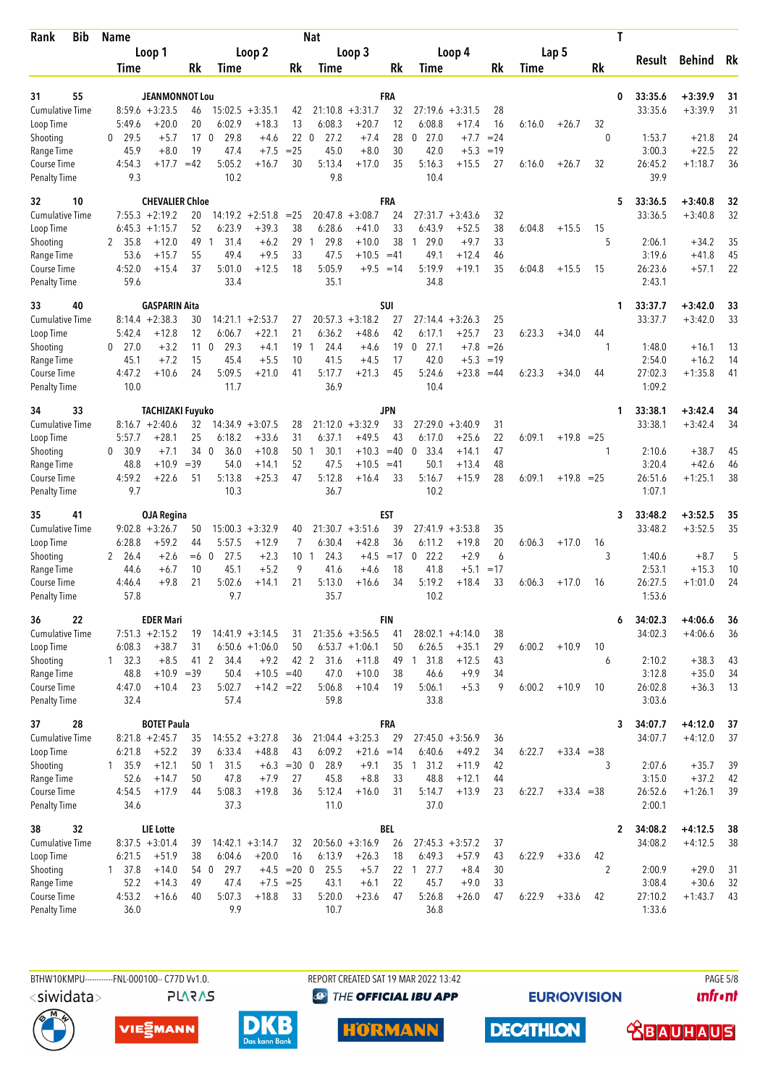| <b>Bib</b><br>Rank                        | <b>Name</b>              |                                     |              |                                |                               |                      | <b>Nat</b>           |                               |             |                                  |                              |          |             |              |                | T |                    |                        |          |
|-------------------------------------------|--------------------------|-------------------------------------|--------------|--------------------------------|-------------------------------|----------------------|----------------------|-------------------------------|-------------|----------------------------------|------------------------------|----------|-------------|--------------|----------------|---|--------------------|------------------------|----------|
|                                           |                          | Loop 1                              |              |                                | Loop 2                        |                      |                      | Loop 3                        |             |                                  | Loop 4                       |          |             | Lap 5        |                |   | Result             | <b>Behind</b>          | Rk       |
|                                           | Time                     |                                     | Rk           | <b>Time</b>                    |                               | Rk                   | Time                 |                               | Rk          | Time                             |                              | Rk       | <b>Time</b> |              | Rk             |   |                    |                        |          |
|                                           |                          |                                     |              |                                |                               |                      |                      |                               |             |                                  |                              |          |             |              |                |   |                    |                        |          |
| 55<br>31<br><b>Cumulative Time</b>        |                          | JEANMONNOT Lou<br>$8:59.6 + 3:23.5$ | 46           | 15:02.5                        | $+3:35.1$                     | 42                   | 21:10.8              | $+3:31.7$                     | FRA<br>32   | 27:19.6                          | $+3:31.5$                    | 28       |             |              |                | 0 | 33:35.6<br>33:35.6 | $+3:39.9$<br>$+3:39.9$ | 31<br>31 |
| Loop Time                                 | 5:49.6                   | $+20.0$                             | 20           | 6:02.9                         | $+18.3$                       | 13                   | 6:08.3               | $+20.7$                       | 12          | 6:08.8                           | $+17.4$                      | 16       | 6:16.0      | $+26.7$      | 32             |   |                    |                        |          |
| Shooting                                  | 29.5<br>0                | $+5.7$                              | 17           | 29.8<br>$\mathbf 0$            | $+4.6$                        | 22                   | $\mathbf{0}$<br>27.2 | $+7.4$                        | 28          | 27.0<br>0                        | $+7.7$                       | $= 24$   |             |              | $\theta$       |   | 1:53.7             | $+21.8$                | 24       |
| Range Time                                | 45.9                     | $+8.0$                              | 19           | 47.4                           | $+7.5$                        | $= 25$               | 45.0                 | $+8.0$                        | 30          | 42.0                             | $+5.3$                       | $=19$    |             |              |                |   | 3:00.3             | $+22.5$                | 22       |
| <b>Course Time</b><br><b>Penalty Time</b> | 4:54.3<br>9.3            | $+17.7$                             | $=42$        | 5:05.2<br>10.2                 | $+16.7$                       | 30                   | 5:13.4<br>9.8        | $+17.0$                       | 35          | 5:16.3<br>10.4                   | $+15.5$                      | 27       | 6:16.0      | $+26.7$      | 32             |   | 26:45.2<br>39.9    | $+1:18.7$              | 36       |
| 10<br>32                                  |                          | <b>CHEVALIER Chloe</b>              |              |                                |                               |                      |                      |                               | <b>FRA</b>  |                                  |                              |          |             |              |                | 5 | 33:36.5            | $+3:40.8$              | 32       |
| <b>Cumulative Time</b>                    |                          | $7:55.3 +2:19.2$                    | 20           |                                | $14:19.2 + 2:51.8$            | $= 25$               | 20:47.8              | $+3:08.7$                     | 24          | 27:31.7                          | $+3:43.6$                    | 32       |             |              |                |   | 33:36.5            | $+3:40.8$              | 32       |
| Loop Time                                 | 6:45.3<br>2 35.8         | $+1:15.7$<br>$+12.0$                | 52<br>49     | 6:23.9<br>31.4<br>$\mathbf{1}$ | $+39.3$<br>$+6.2$             | 38<br>29             | 6:28.6<br>29.8<br>-1 | $+41.0$<br>$+10.0$            | 33<br>38    | 6:43.9<br>29.0<br>$\overline{1}$ | $+52.5$<br>$+9.7$            | 38<br>33 | 6:04.8      | $+15.5$      | 15<br>5        |   | 2:06.1             | $+34.2$                | 35       |
| Shooting<br>Range Time                    | 53.6                     | $+15.7$                             | 55           | 49.4                           | $+9.5$                        | 33                   | 47.5                 | $+10.5$                       | $=41$       | 49.1                             | $+12.4$                      | 46       |             |              |                |   | 3:19.6             | $+41.8$                | 45       |
| Course Time                               | 4:52.0                   | $+15.4$                             | 37           | 5:01.0                         | $+12.5$                       | 18                   | 5:05.9               |                               | $+9.5 = 14$ | 5:19.9                           | $+19.1$                      | 35       | 6:04.8      | $+15.5$      | 15             |   | 26:23.6            | $+57.1$                | 22       |
| <b>Penalty Time</b>                       | 59.6                     |                                     |              | 33.4                           |                               |                      | 35.1                 |                               |             | 34.8                             |                              |          |             |              |                |   | 2:43.1             |                        |          |
| 33<br>40                                  |                          | <b>GASPARIN Aita</b>                |              |                                |                               |                      |                      |                               | SUI         |                                  |                              |          |             |              |                | 1 | 33:37.7            | $+3:42.0$              | 33<br>33 |
| <b>Cumulative Time</b><br>Loop Time       | 5:42.4                   | $8:14.4 + 2:38.3$<br>$+12.8$        | 30<br>12     | 14:21.1<br>6:06.7              | $+2:53.7$<br>$+22.1$          | 27<br>21             | 20:57.3<br>6:36.2    | $+3:18.2$<br>$+48.6$          | 27<br>42    | 27:14.4<br>6:17.1                | $+3:26.3$<br>$+25.7$         | 25<br>23 | 6:23.3      | $+34.0$      | 44             |   | 33:37.7            | $+3:42.0$              |          |
| Shooting                                  | 27.0<br>0                | $+3.2$                              | 11           | 29.3<br>$\mathbf 0$            | $+4.1$                        | 19                   | 24.4<br>-1           | $+4.6$                        | 19          | 27.1<br>0                        | $+7.8$                       | $=26$    |             |              | 1              |   | 1:48.0             | $+16.1$                | 13       |
| Range Time                                | 45.1                     | $+7.2$                              | 15           | 45.4                           | $+5.5$                        | 10                   | 41.5                 | $+4.5$                        | 17          | 42.0                             | $+5.3$                       | $=19$    |             |              |                |   | 2:54.0             | $+16.2$                | 14       |
| Course Time<br><b>Penalty Time</b>        | 4:47.2<br>10.0           | $+10.6$                             | 24           | 5:09.5<br>11.7                 | $+21.0$                       | 41                   | 5:17.7<br>36.9       | $+21.3$                       | 45          | 5:24.6<br>10.4                   | $+23.8$                      | $=44$    | 6:23.3      | $+34.0$      | 44             |   | 27:02.3<br>1:09.2  | $+1:35.8$              | 41       |
| 33<br>34                                  |                          | <b>TACHIZAKI Fuyuko</b>             |              |                                |                               |                      |                      |                               | <b>JPN</b>  |                                  |                              |          |             |              |                | 1 | 33:38.1            | $+3:42.4$              | 34       |
| <b>Cumulative Time</b>                    |                          | $8:16.7 + 2:40.6$                   | 32           |                                | $14:34.9 + 3:07.5$            | 28                   |                      | $21:12.0 +3:32.9$             | 33          | 27:29.0                          | $+3:40.9$                    | 31       |             |              |                |   | 33:38.1            | $+3:42.4$              | 34       |
| Loop Time                                 | 5:57.7                   | $+28.1$                             | 25           | 6:18.2                         | $+33.6$                       | 31                   | 6:37.1               | $+49.5$                       | 43          | 6:17.0                           | $+25.6$                      | 22       | 6:09.1      | $+19.8 = 25$ |                |   |                    |                        |          |
| Shooting                                  | 30.9<br>0                | $+7.1$                              | 34 0         | 36.0                           | $+10.8$                       | 50                   | 30.1<br>-1           | $+10.3$                       | $=40$       | 33.4<br>$\mathbf{0}$             | $+14.1$                      | 47       |             |              | 1              |   | 2:10.6             | $+38.7$                | 45       |
| Range Time<br><b>Course Time</b>          | 48.8<br>4:59.2           | $+10.9$<br>$+22.6$                  | $=39$<br>51  | 54.0<br>5:13.8                 | $+14.1$<br>$+25.3$            | 52<br>47             | 47.5<br>5:12.8       | $+10.5$<br>$+16.4$            | $=41$<br>33 | 50.1<br>5:16.7                   | $+13.4$<br>$+15.9$           | 48<br>28 | 6:09.1      | $+19.8$      | $=25$          |   | 3:20.4<br>26:51.6  | $+42.6$<br>$+1:25.1$   | 46<br>38 |
| <b>Penalty Time</b>                       | 9.7                      |                                     |              | 10.3                           |                               |                      | 36.7                 |                               |             | 10.2                             |                              |          |             |              |                |   | 1:07.1             |                        |          |
| 41<br>35                                  |                          | <b>OJA Regina</b>                   |              |                                |                               |                      |                      |                               | <b>EST</b>  |                                  |                              |          |             |              |                | 3 | 33:48.2            | $+3:52.5$              | 35       |
| Cumulative Time                           |                          | $9:02.8 + 3:26.7$<br>$+59.2$        | 50           | 15:00.3                        | $+3:32.9$                     | 40                   |                      | $21:30.7 + 3:51.6$            | 39<br>36    | 27:41.9                          | $+3:53.8$                    | 35       |             |              |                |   | 33:48.2            | $+3:52.5$              | 35       |
| Loop Time<br>Shooting                     | 6:28.8<br>2<br>26.4      | $+2.6$                              | 44<br>$=6$ 0 | 5:57.5<br>27.5                 | $+12.9$<br>$+2.3$             | 7<br>10 <sub>1</sub> | 6:30.4<br>24.3       | $+42.8$<br>$+4.5$             | $=17$       | 6:11.2<br>22.2<br>0              | $+19.8$<br>$+2.9$            | 20<br>6  | 6:06.3      | $+17.0$      | 16<br>3        |   | 1:40.6             | $+8.7$                 | 5        |
| Range Time                                | 44.6                     | $+6.7$                              | 10           | 45.1                           | $+5.2$                        | 9                    | 41.6                 | $+4.6$                        | 18          | 41.8                             | $+5.1$                       | $=17$    |             |              |                |   | 2:53.1             | $+15.3$                | 10       |
| <b>Course Time</b>                        | 4:46.4                   | $+9.8$                              | 21           | 5:02.6                         | $+14.1$                       | 21                   | 5:13.0               | $+16.6$                       | 34          | 5:19.2                           | $+18.4$                      | 33       | 6:06.3      | $+17.0$      | 16             |   | 26:27.5            | $+1:01.0$              | 24       |
| <b>Penalty Time</b>                       | 57.8                     |                                     |              | 9.7                            |                               |                      | 35.7                 |                               |             | 10.2                             |                              |          |             |              |                |   | 1:53.6             |                        |          |
| 22<br>36                                  |                          | <b>EDER Mari</b>                    |              |                                |                               |                      |                      |                               | FIN         |                                  |                              |          |             |              |                | 6 | 34:02.3            | $+4:06.6$              | 36       |
| <b>Cumulative Time</b>                    |                          | $7:51.3 +2:15.2$<br>$+38.7$         | 19           |                                | $14:41.9 + 3:14.5$            | 31                   |                      | $21:35.6 + 3:56.5$            | 41          | 6:26.5                           | $28:02.1 +4:14.0$            | 38       | 6:00.2      |              |                |   | 34:02.3            | $+4:06.6$              | 36       |
| Loop Time<br>Shooting                     | 6:08.3<br>$1 \quad 32.3$ | $+8.5$                              | 31<br>41 2   | 34.4                           | $6:50.6 +1:06.0$<br>$+9.2$    | 50<br>42 2           | 31.6                 | $6:53.7 +1:06.1$<br>$+11.8$   | 50          | 49 1 31.8                        | $+35.1$<br>$+12.5$           | 29<br>43 |             | $+10.9$      | 10<br>6        |   | 2:10.2             | $+38.3$                | 43       |
| Range Time                                | 48.8                     | $+10.9$                             | $=39$        | 50.4                           | $+10.5$                       | $=40$                | 47.0                 | $+10.0$                       | 38          | 46.6                             | $+9.9$                       | 34       |             |              |                |   | 3:12.8             | $+35.0$                | 34       |
| Course Time                               | 4:47.0                   | $+10.4$                             | 23           | 5:02.7                         | $+14.2 = 22$                  |                      | 5:06.8               | $+10.4$                       | 19          | 5:06.1                           | $+5.3$                       | 9        | 6:00.2      | $+10.9$      | 10             |   | 26:02.8            | $+36.3$                | 13       |
| <b>Penalty Time</b>                       | 32.4                     |                                     |              | 57.4                           |                               |                      | 59.8                 |                               |             | 33.8                             |                              |          |             |              |                |   | 3:03.6             |                        |          |
| 28<br>37                                  |                          | <b>BOTET Paula</b>                  |              |                                |                               |                      |                      |                               | FRA         |                                  |                              |          |             |              |                | 3 | 34:07.7            | $+4:12.0$              | 37       |
| <b>Cumulative Time</b>                    |                          | $8:21.8 + 2:45.7$                   | 35           |                                | $14:55.2 + 3:27.8$            | 36                   |                      | $21:04.4 + 3:25.3$            | 29          |                                  | $27:45.0 +3:56.9$            | 36       |             |              |                |   | 34:07.7            | $+4:12.0$              | 37       |
| Loop Time<br>Shooting                     | 6:21.8<br>1, 35.9        | $+52.2$<br>$+12.1$                  | 39<br>50 1   | 6:33.4<br>31.5                 | $+48.8$                       | 43<br>$+6.3 = 30.0$  | 6:09.2<br>28.9       | $+21.6 = 14$<br>$+9.1$        | 35          | 6:40.6<br>31.2<br>$\overline{1}$ | $+49.2$<br>$+11.9$           | 34<br>42 | 6:22.7      | $+33.4 = 38$ | 3              |   | 2:07.6             | $+35.7$                | 39       |
| Range Time                                | 52.6                     | $+14.7$                             | 50           | 47.8                           | $+7.9$                        | 27                   | 45.8                 | $+8.8$                        | 33          | 48.8                             | $+12.1$                      | 44       |             |              |                |   | 3:15.0             | $+37.2$                | 42       |
| Course Time                               | 4:54.5                   | $+17.9$                             | 44           | 5:08.3                         | $+19.8$                       | 36                   | 5:12.4               | $+16.0$                       | 31          | 5:14.7                           | $+13.9$                      | 23       | 6:22.7      | $+33.4 = 38$ |                |   | 26:52.6            | $+1:26.1$              | 39       |
| <b>Penalty Time</b>                       | 34.6                     |                                     |              | 37.3                           |                               |                      | 11.0                 |                               |             | 37.0                             |                              |          |             |              |                |   | 2:00.1             |                        |          |
| 32<br>38                                  |                          | LIE Lotte                           |              |                                |                               |                      |                      |                               | <b>BEL</b>  |                                  |                              |          |             |              |                | 2 | 34:08.2            | $+4:12.5$              | 38       |
| <b>Cumulative Time</b><br>Loop Time       | 6:21.5                   | $8:37.5 +3:01.4$<br>$+51.9$         | 39<br>38     | 6:04.6                         | $14:42.1 + 3:14.7$<br>$+20.0$ | 32<br>16             | 6:13.9               | $20:56.0 + 3:16.9$<br>$+26.3$ | 26<br>18    | 6:49.3                           | $27:45.3 +3:57.2$<br>$+57.9$ | 37       | 6:22.9      | $+33.6$      | 42             |   | 34:08.2            | $+4:12.5$              | 38       |
| Shooting                                  | $1 \quad 37.8$           | $+14.0$                             | 54 0         | 29.7                           | $+4.5$                        | $= 20 \ 0$           | 25.5                 | $+5.7$                        |             | 22 1 27.7                        | $+8.4$                       | 43<br>30 |             |              | $\overline{2}$ |   | 2:00.9             | $+29.0$                | 31       |
| Range Time                                | 52.2                     | $+14.3$                             | 49           | 47.4                           |                               | $+7.5 = 25$          | 43.1                 | $+6.1$                        | 22          | 45.7                             | $+9.0$                       | 33       |             |              |                |   | 3:08.4             | $+30.6$                | 32       |
| Course Time                               | 4:53.2                   | $+16.6$                             | 40           | 5:07.3                         | $+18.8$                       | 33                   | 5:20.0               | $+23.6$                       | 47          | 5:26.8                           | $+26.0$                      | 47       | 6:22.9      | $+33.6$      | 42             |   | 27:10.2            | $+1:43.7$              | 43       |
| <b>Penalty Time</b>                       | 36.0                     |                                     |              | 9.9                            |                               |                      | 10.7                 |                               |             | 36.8                             |                              |          |             |              |                |   | 1:33.6             |                        |          |

<siwidata>

**PLARAS** 

BTHW10KMPU-----------FNL-000100-- C77D W1.0. REPORT CREATED SAT 19 MAR 2022 13:42 PAGE 5/8 <sup><sup>9</sup> THE OFFICIAL IBU APP</sup>

**EURIOVISION** 

**DECATHLON** 

*<u><u>Infront</u>*</u>







**HÖRMANN** 

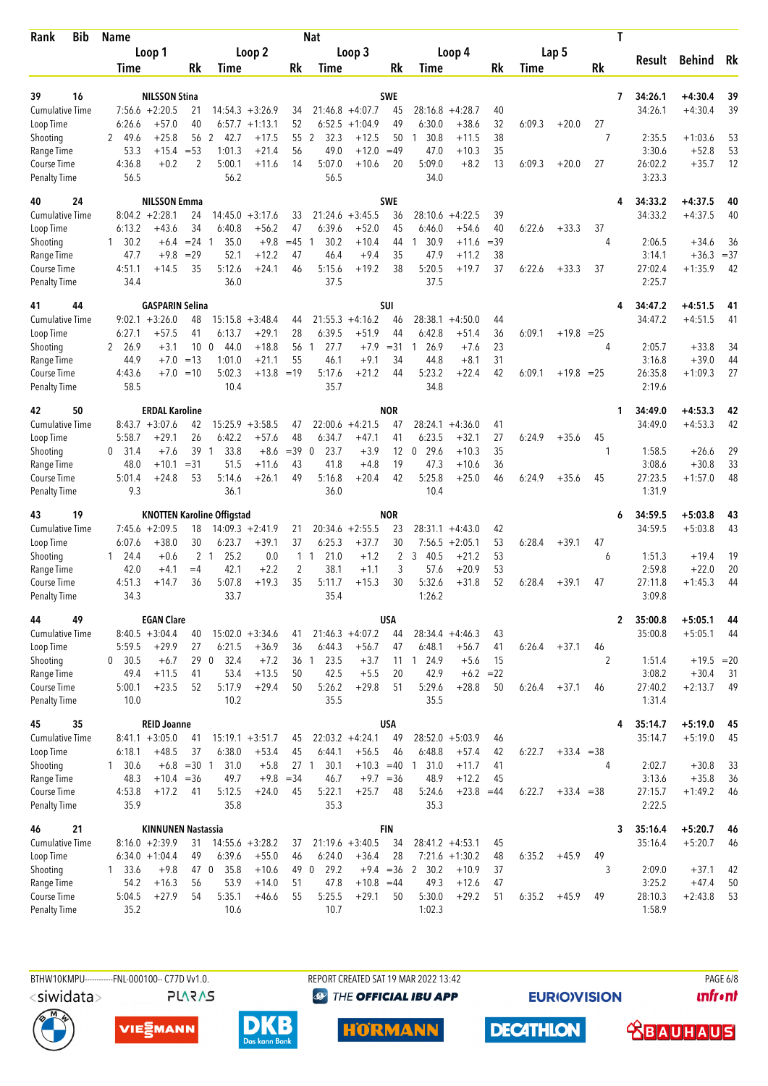| Bib<br>Rank                         | <b>Name</b>            |                                       |                 |                                   |                               |                                | <b>Nat</b>                   |                               |                     |                              |                                       |             |        |              |         | T            |                   |                    |             |
|-------------------------------------|------------------------|---------------------------------------|-----------------|-----------------------------------|-------------------------------|--------------------------------|------------------------------|-------------------------------|---------------------|------------------------------|---------------------------------------|-------------|--------|--------------|---------|--------------|-------------------|--------------------|-------------|
|                                     |                        | Loop 1                                |                 |                                   | Loop 2                        |                                |                              | Loop 3                        |                     |                              | Loop 4                                |             |        | Lap 5        |         |              | Result            | <b>Behind</b>      | Rk          |
|                                     | Time                   |                                       | <b>Rk</b>       | Time                              |                               | Rk                             | Time                         |                               | Rk                  | Time                         |                                       | Rk          | Time   |              | Rk      |              |                   |                    |             |
| 39<br>16                            |                        | <b>NILSSON Stina</b>                  |                 |                                   |                               |                                |                              |                               | <b>SWE</b>          |                              |                                       |             |        |              |         | 7            | 34:26.1           | $+4:30.4$          | 39          |
| <b>Cumulative Time</b>              |                        | $7:56.6 + 2:20.5$                     | 21              |                                   | $14:54.3 + 3:26.9$            | 34                             |                              | $21:46.8 + 4:07.7$            | 45                  | 28:16.8                      | $+4:28.7$                             | 40          |        |              |         |              | 34:26.1           | $+4:30.4$          | 39          |
| Loop Time                           | 6:26.6                 | $+57.0$                               | 40              |                                   | $6:57.7 +1:13.1$              | 52                             | 6:52.5                       | $+1:04.9$                     | 49                  | 6:30.0                       | $+38.6$                               | 32          | 6:09.3 | $+20.0$      | 27      |              |                   |                    |             |
| Shooting                            | 49.6<br>2              | $+25.8$                               | 56              | 2<br>42.7                         | $+17.5$                       | 55                             | 2<br>32.3                    | $+12.5$                       | 50                  | 30.8<br>1                    | $+11.5$                               | 38          |        |              | 7       |              | 2:35.5            | $+1:03.6$          | 53          |
| Range Time                          | 53.3                   | +15.4                                 | $= 53$          | 1:01.3                            | $+21.4$                       | 56                             | 49.0                         | $+12.0$                       | $=49$               | 47.0                         | $+10.3$                               | 35          |        |              |         |              | 3:30.6            | $+52.8$            | 53          |
| Course Time<br><b>Penalty Time</b>  | 4:36.8<br>56.5         | $+0.2$                                | 2               | 5:00.1<br>56.2                    | $+11.6$                       | 14                             | 5:07.0<br>56.5               | $+10.6$                       | 20                  | 5:09.0<br>34.0               | $+8.2$                                | 13          | 6:09.3 | $+20.0$      | 27      |              | 26:02.2<br>3:23.3 | $+35.7$            | 12          |
| 24<br>40                            |                        | <b>NILSSON Emma</b>                   |                 |                                   |                               |                                |                              |                               | <b>SWE</b>          |                              |                                       |             |        |              |         |              | 34:33.2           | $+4:37.5$          | 40          |
| <b>Cumulative Time</b>              |                        | $8:04.2 +2:28.1$                      | 24              | 14:45.0                           | $+3:17.6$                     | 33                             | 21:24.6                      | $+3:45.5$                     | 36                  | 28:10.6                      | $+4:22.5$                             | 39          |        |              |         |              | 34:33.2           | $+4:37.5$          | 40          |
| Loop Time                           | 6:13.2                 | $+43.6$                               | 34              | 6:40.8<br>-1                      | $+56.2$                       | 47                             | 6:39.6<br>$\mathbf{1}$       | $+52.0$                       | 45                  | 6:46.0<br>30.9               | $+54.6$                               | 40          | 6:22.6 | $+33.3$      | 37      |              |                   |                    |             |
| Shooting<br>Range Time              | $1 \quad 30.2$<br>47.7 | $+6.4$<br>$+9.8$                      | $= 24$<br>$=29$ | 35.0<br>52.1                      | $+9.8$<br>$+12.2$             | $=45$<br>47                    | 30.2<br>46.4                 | $+10.4$<br>$+9.4$             | 44<br>35            | $\mathbf{1}$<br>47.9         | $+11.6$<br>$+11.2$                    | $=39$<br>38 |        |              | 4       |              | 2:06.5<br>3:14.1  | $+34.6$<br>$+36.3$ | 36<br>$=37$ |
| <b>Course Time</b>                  | 4:51.1                 | +14.5                                 | 35              | 5:12.6                            | $+24.1$                       | 46                             | 5:15.6                       | $+19.2$                       | 38                  | 5:20.5                       | $+19.7$                               | 37          | 6:22.6 | $+33.3$      | 37      |              | 27:02.4           | $+1:35.9$          | 42          |
| <b>Penalty Time</b>                 | 34.4                   |                                       |                 | 36.0                              |                               |                                | 37.5                         |                               |                     | 37.5                         |                                       |             |        |              |         |              | 2:25.7            |                    |             |
| 44<br>41                            |                        | <b>GASPARIN Selina</b>                |                 | 15:15.8                           |                               |                                |                              |                               | SUI                 |                              |                                       |             |        |              |         |              | 34:47.2           | $+4:51.5$          | 41          |
| <b>Cumulative Time</b><br>Loop Time | 6:27.1                 | $9:02.1 + 3:26.0$<br>$+57.5$          | 48<br>41        | 6:13.7                            | $+3:48.4$<br>$+29.1$          | 44<br>28                       | 21:55.3<br>6:39.5            | $+4:16.2$<br>$+51.9$          | 46<br>44            | 28:38.1<br>6:42.8            | $+4:50.0$<br>$+51.4$                  | 44<br>36    | 6:09.1 | $+19.8 = 25$ |         |              | 34:47.2           | $+4:51.5$          | 41          |
| Shooting                            | 2 26.9                 | $+3.1$                                | 10              | $\mathbf 0$<br>44.0               | $+18.8$                       | 56                             | 27.7<br>$\mathbf{1}$         | $+7.9$                        | $= 31$              | 26.9<br>1                    | $+7.6$                                | 23          |        |              | 4       |              | 2:05.7            | $+33.8$            | 34          |
| Range Time                          | 44.9                   | $+7.0$                                | $=13$           | 1:01.0                            | $+21.1$                       | 55                             | 46.1                         | $+9.1$                        | 34                  | 44.8                         | $+8.1$                                | 31          |        |              |         |              | 3:16.8            | $+39.0$            | 44          |
| Course Time<br><b>Penalty Time</b>  | 4:43.6<br>58.5         | $+7.0$                                | $=10$           | 5:02.3<br>10.4                    | $+13.8 = 19$                  |                                | 5:17.6<br>35.7               | $+21.2$                       | 44                  | 5:23.2<br>34.8               | $+22.4$                               | 42          | 6:09.1 | $+19.8 = 25$ |         |              | 26:35.8<br>2:19.6 | $+1:09.3$          | 27          |
| 50<br>42                            |                        | <b>ERDAL Karoline</b>                 |                 |                                   |                               |                                |                              |                               | <b>NOR</b>          |                              |                                       |             |        |              |         | 1            | 34:49.0           | $+4:53.3$          | 42          |
| <b>Cumulative Time</b>              |                        | $8:43.7 + 3:07.6$                     | 42              |                                   | $15:25.9 + 3:58.5$            | 47                             |                              | $22:00.6 +4:21.5$             | 47                  | 28:24.1                      | $+4:36.0$                             | 41          |        |              |         |              | 34:49.0           | $+4:53.3$          | 42          |
| Loop Time                           | 5:58.7                 | $+29.1$                               | 26              | 6:42.2                            | $+57.6$                       | 48                             | 6:34.7                       | $+47.1$                       | 41                  | 6:23.5                       | $+32.1$                               | 27          | 6:24.9 | $+35.6$      | 45      |              |                   |                    |             |
| Shooting                            | 0, 31.4<br>48.0        | $+7.6$<br>$+10.1$                     | 39<br>$= 31$    | $\overline{1}$<br>33.8<br>51.5    | $+8.6$<br>$+11.6$             | $=39$<br>43                    | 23.7<br>$\mathbf 0$<br>41.8  | $+3.9$<br>$+4.8$              | 12<br>19            | 29.6<br>$\mathbf{0}$<br>47.3 | $+10.3$<br>$+10.6$                    | 35<br>36    |        |              | 1       |              | 1:58.5<br>3:08.6  | $+26.6$<br>$+30.8$ | 29<br>33    |
| Range Time<br>Course Time           | 5:01.4                 | $+24.8$                               | 53              | 5:14.6                            | $+26.1$                       | 49                             | 5:16.8                       | $+20.4$                       | 42                  | 5:25.8                       | $+25.0$                               | 46          | 6:24.9 | $+35.6$      | 45      |              | 27:23.5           | $+1:57.0$          | 48          |
| <b>Penalty Time</b>                 | 9.3                    |                                       |                 | 36.1                              |                               |                                | 36.0                         |                               |                     | 10.4                         |                                       |             |        |              |         |              | 1:31.9            |                    |             |
| 19<br>43                            |                        |                                       |                 | <b>KNOTTEN Karoline Offigstad</b> |                               |                                |                              |                               | NOR                 |                              |                                       |             |        |              |         | 6            | 34:59.5           | $+5:03.8$          | 43          |
| <b>Cumulative Time</b>              |                        | $7:45.6 + 2:09.5$                     | 18              |                                   | $14:09.3 +2:41.9$             | 21                             |                              | $20:34.6 + 2:55.5$            | 23                  |                              | $28:31.1 + 4:43.0$                    | 42          |        |              |         |              | 34:59.5           | $+5:03.8$          | 43          |
| Loop Time                           | 6:07.6                 | $+38.0$                               | 30              | 6:23.7                            | $+39.1$                       | 37                             | 6:25.3                       | $+37.7$                       | 30                  | 7:56.5                       | $+2:05.1$                             | 53          | 6:28.4 | $+39.1$      | 47      |              |                   |                    |             |
| Shooting<br>Range Time              | $1 \quad 24.4$<br>42.0 | $+0.6$<br>$+4.1$                      | $=4$            | 2 <sub>1</sub><br>25.2<br>42.1    | 0.0<br>$+2.2$                 | $\mathbf{1}$<br>$\overline{2}$ | 21.0<br>$\mathbf{1}$<br>38.1 | $+1.2$<br>$+1.1$              | $\overline{2}$<br>3 | 3<br>40.5<br>57.6            | $+21.2$<br>$+20.9$                    | 53<br>53    |        |              | 6       |              | 1:51.3<br>2:59.8  | $+19.4$<br>$+22.0$ | 19<br>20    |
| <b>Course Time</b>                  | 4:51.3                 | +14.7                                 | 36              | 5:07.8                            | $+19.3$                       | 35                             | 5:11.7                       | $+15.3$                       | 30                  | 5:32.6                       | $+31.8$                               | 52          | 6:28.4 | $+39.1$      | 47      |              | 27:11.8           | $+1:45.3$          | 44          |
| <b>Penalty Time</b>                 | 34.3                   |                                       |                 | 33.7                              |                               |                                | 35.4                         |                               |                     | 1:26.2                       |                                       |             |        |              |         |              | 3:09.8            |                    |             |
| 49<br>44                            |                        | <b>EGAN Clare</b>                     |                 |                                   |                               |                                |                              |                               | <b>USA</b>          |                              |                                       |             |        |              |         | $\mathbf{2}$ | 35:00.8           | $+5:05.1$          | 44          |
| <b>Cumulative Time</b>              |                        | $8:40.5 +3:04.4$                      | 40              |                                   | $15:02.0 + 3:34.6$            | 41                             |                              | $21:46.3 +4:07.2$             | 44                  |                              | $28:34.4 +4:46.3$                     | 43          |        |              |         |              | 35:00.8           | $+5:05.1$          | 44          |
| Loop Time<br>Shooting               | 5:59.5<br>0 30.5       | $+29.9$<br>$+6.7$                     | 27              | 6:21.5<br>32.4<br>29 0            | $+36.9$<br>$+7.2$             | 36                             | 6:44.3<br>36 1<br>23.5       | $+56.7$<br>$+3.7$             | 47                  | 6:48.1<br>11 1 24.9          | $+56.7$<br>$+5.6$                     | 41<br>15    | 6:26.4 | $+37.1$      | 46<br>2 |              | 1:51.4            | $+19.5 = 20$       |             |
| Range Time                          | 49.4                   | $+11.5$                               | 41              | 53.4                              | $+13.5$                       | 50                             | 42.5                         | $+5.5$                        | 20                  | 42.9                         | $+6.2 = 22$                           |             |        |              |         |              | 3:08.2            | $+30.4$            | -31         |
| Course Time                         | 5:00.1                 | $+23.5$                               | 52              | 5:17.9                            | $+29.4$                       | 50                             | 5:26.2                       | $+29.8$                       | 51                  | 5:29.6                       | $+28.8$                               | 50          | 6:26.4 | $+37.1$      | 46      |              | 27:40.2           | $+2:13.7$          | 49          |
| <b>Penalty Time</b>                 | 10.0                   |                                       |                 | 10.2                              |                               |                                | 35.5                         |                               |                     | 35.5                         |                                       |             |        |              |         |              | 1:31.4            |                    |             |
| 35<br>45                            |                        | <b>REID Joanne</b>                    |                 |                                   |                               |                                |                              |                               | <b>USA</b>          |                              |                                       |             |        |              |         | 4            | 35:14.7           | $+5:19.0$          | 45          |
| Cumulative Time<br>Loop Time        | 6:18.1                 | $8:41.1 + 3:05.0$<br>$+48.5$          | 41<br>37        | 6:38.0                            | $15:19.1 + 3:51.7$<br>$+53.4$ | 45<br>45                       | 6:44.1                       | $22:03.2 +4:24.1$<br>$+56.5$  | 49<br>46            | 6:48.8                       | $28:52.0 + 5:03.9$<br>$+57.4$         | 46<br>42    | 6:22.7 | $+33.4 = 38$ |         |              | 35:14.7           | $+5:19.0$          | 45          |
| Shooting                            | $1 \quad 30.6$         |                                       | $+6.8$ = 30 1   | 31.0                              | $+5.8$                        | 27 <sub>1</sub>                | 30.1                         | $+10.3 = 40$                  |                     | 31.0<br>$\overline{1}$       | $+11.7$                               | 41          |        |              | 4       |              | 2:02.7            | $+30.8$            | 33          |
| Range Time                          | 48.3                   | $+10.4 = 36$                          |                 | 49.7                              | $+9.8$                        | $= 34$                         | 46.7                         | $+9.7 = 36$                   |                     | 48.9                         | $+12.2$                               | 45          |        |              |         |              | 3:13.6            | $+35.8$            | 36          |
| Course Time                         | 4:53.8                 | $+17.2$                               | 41              | 5:12.5                            | $+24.0$                       | 45                             | 5:22.1                       | $+25.7$                       | 48                  | 5:24.6                       | $+23.8 = 44$                          |             | 6:22.7 | $+33.4 = 38$ |         |              | 27:15.7           | $+1:49.2$          | 46          |
| <b>Penalty Time</b>                 | 35.9                   |                                       |                 | 35.8                              |                               |                                | 35.3                         |                               |                     | 35.3                         |                                       |             |        |              |         |              | 2:22.5            |                    |             |
| 46<br>21                            |                        | <b>KINNUNEN Nastassia</b>             |                 |                                   |                               |                                |                              |                               | <b>FIN</b>          |                              |                                       |             |        |              |         | 3            | 35:16.4           | $+5:20.7$          | 46          |
| <b>Cumulative Time</b><br>Loop Time |                        | $8:16.0 +2:39.9$<br>$6:34.0 + 1:04.4$ | 31<br>49        | 6:39.6                            | $14:55.6 + 3:28.2$<br>$+55.0$ | 37<br>46                       | 6:24.0                       | $21:19.6 + 3:40.5$<br>$+36.4$ | 34<br>28            |                              | $28:41.2 +4:53.1$<br>$7:21.6 +1:30.2$ | 45<br>48    | 6:35.2 | $+45.9$      | 49      |              | 35:16.4           | $+5:20.7$          | 46          |
| Shooting                            | $1 \quad 33.6$         | $+9.8$                                | 47 0            | 35.8                              | $+10.6$                       | 49 0                           | 29.2                         |                               | $+9.4 = 36$         | 2 30.2                       | $+10.9$                               | 37          |        |              | 3       |              | 2:09.0            | $+37.1$            | 42          |
| Range Time                          | 54.2                   | $+16.3$                               | 56              | 53.9                              | $+14.0$                       | 51                             | 47.8                         | $+10.8 = 44$                  |                     | 49.3                         | $+12.6$                               | 47          |        |              |         |              | 3:25.2            | $+47.4$            | 50          |
| Course Time                         | 5:04.5                 | $+27.9$                               | 54              | 5:35.1                            | $+46.6$                       | 55                             | 5:25.5                       | $+29.1$                       | 50                  | 5:30.0                       | $+29.2$                               | 51          | 6:35.2 | $+45.9$      | 49      |              | 28:10.3           | $+2:43.8$          | 53          |
| <b>Penalty Time</b>                 | 35.2                   |                                       |                 | 10.6                              |                               |                                | 10.7                         |                               |                     | 1:02.3                       |                                       |             |        |              |         |              | 1:58.9            |                    |             |

<siwidata>

**PLARAS** 

BTHW10KMPU-----------FNL-000100-- C77D W1.0. REPORT CREATED SAT 19 MAR 2022 13:42 PAGE 6/8 <sup><sup>9</sup> THE OFFICIAL IBU APP</sup>

**EURIOVISION** 

*<u><u>Infront</u>*</u>







**DECATHLON HÖRMANN** 

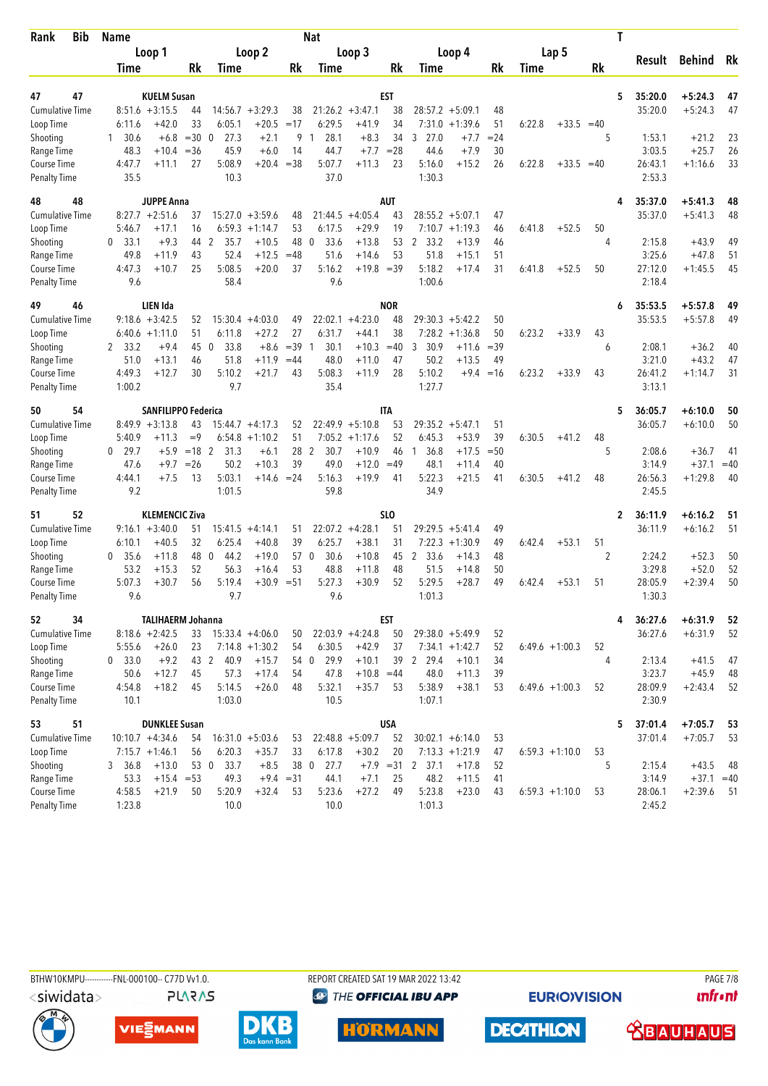| <b>Bib</b><br>Rank                 | Name            |                            |             |                        |                    |                     | Nat              |                    |                   |                      |                    |          |        |                  |           | Τ |                   |                         |             |
|------------------------------------|-----------------|----------------------------|-------------|------------------------|--------------------|---------------------|------------------|--------------------|-------------------|----------------------|--------------------|----------|--------|------------------|-----------|---|-------------------|-------------------------|-------------|
|                                    |                 | Loop 1                     |             |                        | Loop 2             |                     |                  | Loop 3             |                   |                      | Loop 4             |          |        | Lap 5            |           |   | Result            | <b>Behind</b>           | Rk          |
|                                    | Time            |                            | Rk          | Time                   |                    | Rk                  | <b>Time</b>      |                    | Rk                | Time                 |                    | Rk       | Time   |                  | <b>Rk</b> |   |                   |                         |             |
| 47<br>47                           |                 | <b>KUELM Susan</b>         |             |                        |                    |                     |                  |                    | <b>EST</b>        |                      |                    |          |        |                  |           | 5 | 35:20.0           | $+5:24.3$               | 47          |
| <b>Cumulative Time</b>             |                 | $8:51.6 + 3:15.5$          | 44          |                        | $14:56.7 + 3:29.3$ | 38                  |                  | $21:26.2 + 3:47.1$ | 38                |                      | $28:57.2 + 5:09.1$ | 48       |        |                  |           |   | 35:20.0           | $+5:24.3$               | 47          |
| Loop Time                          | 6:11.6          | $+42.0$                    | 33          | 6:05.1                 | $+20.5$            | $=17$               | 6:29.5           | $+41.9$            | 34                |                      | $7:31.0 + 1:39.6$  | 51       | 6:22.8 | $+33.5$          | $=40$     |   |                   |                         |             |
| Shooting                           | 30.6<br>1.      | $+6.8$                     | $=30$       | 27.3<br>$\mathbf 0$    | $+2.1$             | 9                   | 28.1<br>-1       | $+8.3$             | 34                | 27.0<br>3            | $+7.7$             | $= 24$   |        |                  | 5         |   | 1:53.1            | $+21.2$                 | 23          |
| Range Time                         | 48.3            | $+10.4$                    | $= 36$      | 45.9                   | $+6.0$             | 14                  | 44.7             | $+7.7$             | $= 28$            | 44.6                 | $+7.9$             | 30       |        |                  |           |   | 3:03.5            | $+25.7$                 | 26          |
| Course Time<br><b>Penalty Time</b> | 4:47.7<br>35.5  | $+11.1$                    | 27          | 5:08.9<br>10.3         | $+20.4$            | $= 38$              | 5:07.7<br>37.0   | $+11.3$            | 23                | 5:16.0<br>1:30.3     | $+15.2$            | 26       | 6:22.8 | $+33.5$          | $=40$     |   | 26:43.1<br>2:53.3 | $+1:16.6$               | 33          |
| 48<br>48                           |                 | <b>JUPPE Anna</b>          |             |                        |                    |                     |                  |                    | <b>AUT</b>        |                      |                    |          |        |                  |           | 4 | 35:37.0           | $+5:41.3$               | 48          |
| <b>Cumulative Time</b>             |                 | $8:27.7 + 2:51.6$          | 37          |                        | $15:27.0 + 3:59.6$ | 48                  | 21:44.5          | $+4:05.4$          | 43                |                      | $28:55.2 + 5:07.1$ | 47       |        |                  |           |   | 35:37.0           | $+5:41.3$               | 48          |
| Loop Time                          | 5:46.7          | $+17.1$                    | 16          | 6:59.3                 | $+1:14.7$          | 53                  | 6:17.5           | $+29.9$            | 19                |                      | $7:10.7 + 1:19.3$  | 46       | 6:41.8 | $+52.5$          | 50        |   |                   |                         |             |
| Shooting                           | 0, 33.1         | $+9.3$                     | 44          | $\overline{2}$<br>35.7 | $+10.5$            | 48                  | $\theta$<br>33.6 | $+13.8$            | 53                | 2 33.2               | $+13.9$            | 46       |        |                  | 4         |   | 2:15.8            | $+43.9$                 | 49          |
| Range Time                         | 49.8            | $+11.9$                    | 43          | 52.4                   | $+12.5$            | $=48$               | 51.6             | $+14.6$            | 53                | 51.8                 | $+15.1$            | 51       |        |                  |           |   | 3:25.6            | $+47.8$                 | 51          |
| Course Time                        | 4:47.3          | $+10.7$                    | 25          | 5:08.5                 | $+20.0$            | 37                  | 5:16.2           | $+19.8 = 39$       |                   | 5:18.2               | $+17.4$            | 31       | 6:41.8 | $+52.5$          | 50        |   | 27:12.0           | $+1:45.5$               | 45          |
| <b>Penalty Time</b>                | 9.6             |                            |             | 58.4                   |                    |                     | 9.6              |                    |                   | 1:00.6               |                    |          |        |                  |           |   | 2:18.4            |                         |             |
| 49<br>46                           |                 | LIEN Ida                   |             |                        |                    |                     |                  |                    | <b>NOR</b>        |                      |                    |          |        |                  |           | 6 | 35:53.5           | $+5:57.8$               | 49          |
| <b>Cumulative Time</b>             |                 | $9:18.6 + 3:42.5$          | 52          | 15:30.4                | $+4:03.0$          | 49                  |                  | $22:02.1 +4:23.0$  | 48                | 29:30.3              | $+5:42.2$          | 50       |        |                  |           |   | 35:53.5           | $+5:57.8$               | 49          |
| Loop Time                          |                 | $6:40.6 +1:11.0$           | 51          | 6:11.8                 | $+27.2$            | 27                  | 6:31.7           | $+44.1$            | 38                |                      | $7:28.2 +1:36.8$   | 50       | 6:23.2 | $+33.9$          | 43        |   |                   |                         |             |
| Shooting                           | 2, 33.2         | $+9.4$                     | 45          | 33.8<br>- 0            | $+8.6$             | $=39$               | 30.1<br>-1       | $+10.3$            | $=40$             | 30.9<br>3            | $+11.6$            | $=39$    |        |                  | 6         |   | 2:08.1            | $+36.2$                 | 40          |
| Range Time                         | 51.0            | $+13.1$                    | 46          | 51.8                   | $+11.9$            | $=44$               | 48.0             | $+11.0$            | 47                | 50.2                 | $+13.5$            | 49       |        |                  |           |   | 3:21.0            | $+43.2$                 | 47          |
| Course Time                        | 4:49.3          | $+12.7$                    | 30          | 5:10.2<br>9.7          | $+21.7$            | 43                  | 5:08.3<br>35.4   | $+11.9$            | 28                | 5:10.2<br>1:27.7     | $+9.4$             | $=16$    | 6:23.2 | $+33.9$          | 43        |   | 26:41.2<br>3:13.1 | $+1:14.7$               | 31          |
| <b>Penalty Time</b>                | 1:00.2          |                            |             |                        |                    |                     |                  |                    |                   |                      |                    |          |        |                  |           |   |                   |                         |             |
| 50<br>54                           |                 | <b>SANFILIPPO Federica</b> |             |                        |                    |                     |                  |                    | ITA               |                      |                    |          |        |                  |           | 5 | 36:05.7           | $+6:10.0$               | 50          |
| <b>Cumulative Time</b>             |                 | $8:49.9 + 3:13.8$          | 43          |                        | $15:44.7 + 4:17.3$ | 52                  |                  | $22:49.9 + 5:10.8$ | 53                |                      | $29:35.2 + 5:47.1$ | 51       |        |                  |           |   | 36:05.7           | $+6:10.0$               | 50          |
| Loop Time                          | 5:40.9          | $+11.3$                    | $=9$        |                        | $6:54.8 +1:10.2$   | 51                  | 7:05.2           | $+1:17.6$          | 52                | 6:45.3               | $+53.9$            | 39       | 6:30.5 | $+41.2$          | 48        |   |                   |                         |             |
| Shooting                           | $0$ 29.7        | $+5.9$                     | $=18$ 2     | 31.3                   | $+6.1$             | 28                  | 2<br>30.7        | $+10.9$            | 46                | 36.8<br>$\mathbf{1}$ | $+17.5$            | $=50$    |        |                  | 5         |   | 2:08.6            | $+36.7$                 | 41          |
| Range Time                         | 47.6<br>4:44.1  | $+9.7$                     | $=26$<br>13 | 50.2<br>5:03.1         | $+10.3$<br>$+14.6$ | 39<br>$= 24$        | 49.0<br>5:16.3   | $+12.0$<br>$+19.9$ | $=49$<br>41       | 48.1<br>5:22.3       | $+11.4$<br>$+21.5$ | 40<br>41 | 6:30.5 | $+41.2$          | 48        |   | 3:14.9<br>26:56.3 | $+37.1$<br>$+1:29.8$    | $=40$<br>40 |
| Course Time<br><b>Penalty Time</b> | 9.2             | $+7.5$                     |             | 1:01.5                 |                    |                     | 59.8             |                    |                   | 34.9                 |                    |          |        |                  |           |   | 2:45.5            |                         |             |
| 52<br>51                           |                 | <b>KLEMENCIC Ziva</b>      |             |                        |                    |                     |                  |                    | SL <sub>0</sub>   |                      |                    |          |        |                  |           | 2 | 36:11.9           | $+6:16.2$               | 51          |
| <b>Cumulative Time</b>             |                 | $9:16.1 + 3:40.0$          | 51          |                        | $15:41.5 +4:14.1$  | 51                  |                  | $22:07.2 +4:28.1$  | 51                | 29:29.5              | $+5:41.4$          | 49       |        |                  |           |   | 36:11.9           | $+6:16.2$               | 51          |
| Loop Time                          | 6:10.1          | $+40.5$                    | 32          | 6:25.4                 | $+40.8$            | 39                  | 6:25.7           | $+38.1$            | 31                | 7:22.3               | $+1:30.9$          | 49       | 6:42.4 | $+53.1$          | 51        |   |                   |                         |             |
| Shooting                           | 0, 35.6         | $+11.8$                    | 48          | 44.2<br>0              | $+19.0$            | 57 0                | 30.6             | $+10.8$            | 45                | 2 33.6               | $+14.3$            | 48       |        |                  | 2         |   | 2:24.2            | $+52.3$                 | 50          |
| Range Time                         | 53.2            | $+15.3$                    | 52          | 56.3                   | $+16.4$            | 53                  | 48.8             | $+11.8$            | 48                | 51.5                 | $+14.8$            | 50       |        |                  |           |   | 3:29.8            | $+52.0$                 | 52          |
| Course Time                        | 5:07.3          | $+30.7$                    | 56          | 5:19.4                 | $+30.9$            | $=51$               | 5:27.3           | $+30.9$            | 52                | 5:29.5               | $+28.7$            | 49       | 6:42.4 | $+53.1$          | 51        |   | 28:05.9           | $+2:39.4$               | 50          |
| <b>Penalty Time</b>                | 9.6             |                            |             | 9.7                    |                    |                     | 9.6              |                    |                   | 1:01.3               |                    |          |        |                  |           |   | 1:30.3            |                         |             |
| 52<br>34                           |                 | <b>TALIHAERM Johanna</b>   |             |                        |                    |                     |                  |                    | EST               |                      |                    |          |        |                  |           | 4 | 36:27.6           | $+6:31.9$               | 52          |
| <b>Cumulative Time</b>             |                 | $8:18.6 + 2:42.5$          | 33          |                        | $15:33.4 +4:06.0$  | 50                  |                  | $22:03.9 +4:24.8$  | 50                |                      | $29:38.0 + 5:49.9$ | 52       |        |                  |           |   | 36:27.6           | $+6:31.9$               | 52          |
| Loop Time                          | 5:55.6          | $+26.0$                    | 23          |                        | $7:14.8 + 1:30.2$  | 54                  | 6:30.5           | $+42.9$            | 37                |                      | $7:34.1 + 1:42.7$  | 52       |        | $6:49.6 +1:00.3$ | 52        |   |                   |                         |             |
| Shooting                           | 0 33.0          | $+9.2$                     |             | 43 2<br>40.9           | $+15.7$            |                     | 54 0<br>29.9     | $+10.1$            |                   | 39 2 29.4            | $+10.1$            | 34       |        |                  | 4         |   | 2:13.4            | $+41.5$                 | 47          |
| Range Time                         | 50.6            | $+12.7$                    | 45          | 57.3                   | $+17.4$            | 54                  | 47.8             | $+10.8 = 44$       |                   | 48.0                 | $+11.3$            | 39       |        |                  |           |   | 3:23.7            | $+45.9$                 | 48          |
| Course Time                        | 4:54.8          | $+18.2$                    | 45          | 5:14.5                 | $+26.0$            | 48                  | 5:32.1           | $+35.7$            | 53                | 5:38.9               | $+38.1$            | 53       |        | $6:49.6 +1:00.3$ | 52        |   | 28:09.9           | $+2:43.4$               | 52          |
| <b>Penalty Time</b>                | 10.1            |                            |             | 1:03.0                 |                    |                     | 10.5             |                    |                   | 1:07.1               |                    |          |        |                  |           |   | 2:30.9            |                         |             |
| 51<br>53                           |                 | <b>DUNKLEE Susan</b>       |             |                        |                    |                     |                  |                    | <b>USA</b>        |                      |                    |          |        |                  |           | 5 | 37:01.4           | $+7:05.7$               | 53          |
| <b>Cumulative Time</b>             |                 | $10:10.7 + 4:34.6$         | 54          |                        | $16:31.0 + 5:03.6$ | 53                  |                  | $22:48.8 + 5:09.7$ | 52                |                      | $30:02.1 + 6:14.0$ | 53       |        |                  |           |   | 37:01.4           | $+7:05.7$               | 53          |
| Loop Time                          |                 | $7:15.7 +1:46.1$           | 56          | 6:20.3                 | $+35.7$            | 33                  | 6:17.8           | $+30.2$            | 20                |                      | $7:13.3 +1:21.9$   | 47       |        | $6:59.3 +1:10.0$ | 53        |   |                   |                         |             |
| Shooting                           | 3, 36.8<br>53.3 | $+13.0$<br>$+15.4 = 53$    |             | 53 0<br>33.7<br>49.3   | $+8.5$             | 38 0<br>$+9.4 = 31$ | 27.7<br>44.1     | $+7.1$             | $+7.9 = 31$<br>25 | 2 37.1<br>48.2       | $+17.8$<br>$+11.5$ | 52<br>41 |        |                  | 5         |   | 2:15.4<br>3:14.9  | $+43.5$<br>$+37.1 = 40$ | 48          |
| Range Time<br><b>Course Time</b>   | 4:58.5          | $+21.9$                    | 50          | 5:20.9                 | $+32.4$            | 53                  | 5:23.6           | $+27.2$            | 49                | 5:23.8               | $+23.0$            | 43       |        | $6:59.3 +1:10.0$ | 53        |   | 28:06.1           | $+2:39.6$               | -51         |
| <b>Penalty Time</b>                | 1:23.8          |                            |             | 10.0                   |                    |                     | 10.0             |                    |                   | 1:01.3               |                    |          |        |                  |           |   | 2:45.2            |                         |             |
|                                    |                 |                            |             |                        |                    |                     |                  |                    |                   |                      |                    |          |        |                  |           |   |                   |                         |             |